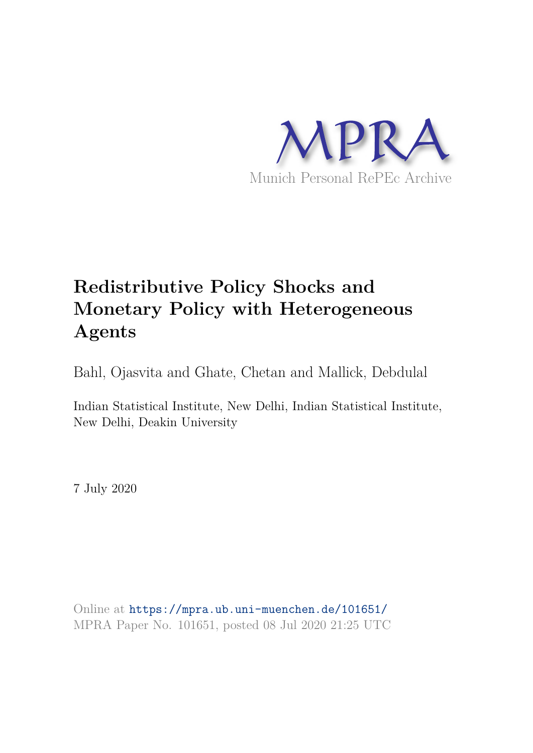

# **Redistributive Policy Shocks and Monetary Policy with Heterogeneous Agents**

Bahl, Ojasvita and Ghate, Chetan and Mallick, Debdulal

Indian Statistical Institute, New Delhi, Indian Statistical Institute, New Delhi, Deakin University

7 July 2020

Online at https://mpra.ub.uni-muenchen.de/101651/ MPRA Paper No. 101651, posted 08 Jul 2020 21:25 UTC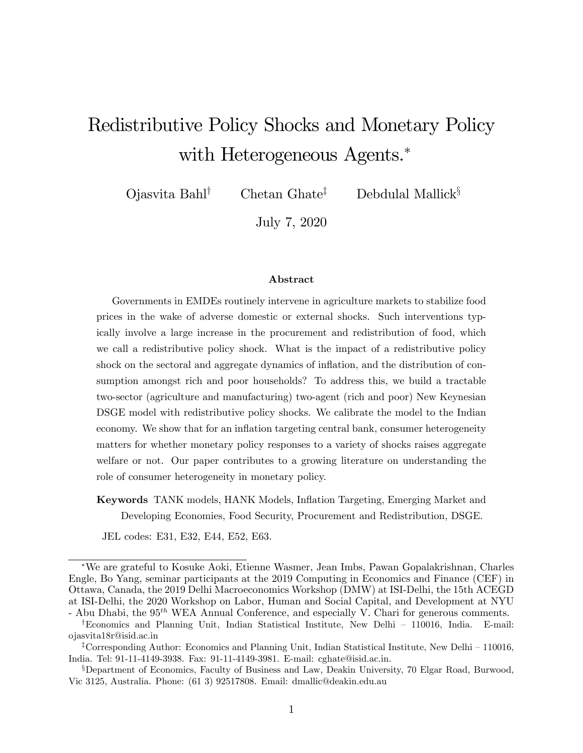# Redistributive Policy Shocks and Monetary Policy with Heterogeneous Agents.<sup>\*</sup>

 $\text{Oiasvita Bahl}^{\dagger}$  Chetan Ghate<sup>‡</sup> Debdulal Mallick<sup>§</sup>

July 7, 2020

#### Abstract

Governments in EMDEs routinely intervene in agriculture markets to stabilize food prices in the wake of adverse domestic or external shocks. Such interventions typically involve a large increase in the procurement and redistribution of food, which we call a redistributive policy shock. What is the impact of a redistributive policy shock on the sectoral and aggregate dynamics of inflation, and the distribution of consumption amongst rich and poor households? To address this, we build a tractable two-sector (agriculture and manufacturing) two-agent (rich and poor) New Keynesian DSGE model with redistributive policy shocks. We calibrate the model to the Indian economy. We show that for an inflation targeting central bank, consumer heterogeneity matters for whether monetary policy responses to a variety of shocks raises aggregate welfare or not. Our paper contributes to a growing literature on understanding the role of consumer heterogeneity in monetary policy.

Keywords TANK models, HANK Models, Ináation Targeting, Emerging Market and Developing Economies, Food Security, Procurement and Redistribution, DSGE.

JEL codes: E31, E32, E44, E52, E63.

We are grateful to Kosuke Aoki, Etienne Wasmer, Jean Imbs, Pawan Gopalakrishnan, Charles Engle, Bo Yang, seminar participants at the 2019 Computing in Economics and Finance (CEF) in Ottawa, Canada, the 2019 Delhi Macroeconomics Workshop (DMW) at ISI-Delhi, the 15th ACEGD at ISI-Delhi, the 2020 Workshop on Labor, Human and Social Capital, and Development at NYU - Abu Dhabi, the  $95<sup>th</sup>$  WEA Annual Conference, and especially V. Chari for generous comments.

<sup>&</sup>lt;sup>†</sup>Economics and Planning Unit, Indian Statistical Institute, New Delhi  $-$  110016, India. E-mail: ojasvita18r@isid.ac.in

<sup>&</sup>lt;sup>‡</sup>Corresponding Author: Economics and Planning Unit, Indian Statistical Institute, New Delhi – 110016, India. Tel: 91-11-4149-3938. Fax: 91-11-4149-3981. E-mail: cghate@isid.ac.in.

<sup>&</sup>lt;sup>§</sup>Department of Economics, Faculty of Business and Law, Deakin University, 70 Elgar Road, Burwood, Vic 3125, Australia. Phone: (61 3) 92517808. Email: dmallic@deakin.edu.au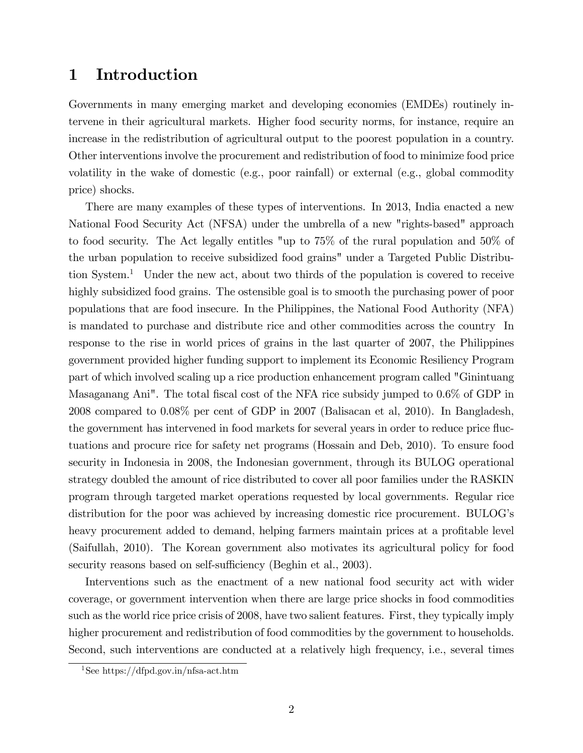# 1 Introduction

Governments in many emerging market and developing economies (EMDEs) routinely intervene in their agricultural markets. Higher food security norms, for instance, require an increase in the redistribution of agricultural output to the poorest population in a country. Other interventions involve the procurement and redistribution of food to minimize food price volatility in the wake of domestic (e.g., poor rainfall) or external (e.g., global commodity price) shocks.

There are many examples of these types of interventions. In 2013, India enacted a new National Food Security Act (NFSA) under the umbrella of a new "rights-based" approach to food security. The Act legally entitles "up to 75% of the rural population and 50% of the urban population to receive subsidized food grains" under a Targeted Public Distribution System.<sup>1</sup> Under the new act, about two thirds of the population is covered to receive highly subsidized food grains. The ostensible goal is to smooth the purchasing power of poor populations that are food insecure. In the Philippines, the National Food Authority (NFA) is mandated to purchase and distribute rice and other commodities across the country In response to the rise in world prices of grains in the last quarter of 2007, the Philippines government provided higher funding support to implement its Economic Resiliency Program part of which involved scaling up a rice production enhancement program called "Ginintuang Masaganang Ani". The total fiscal cost of the NFA rice subsidy jumped to 0.6% of GDP in 2008 compared to 0.08% per cent of GDP in 2007 (Balisacan et al, 2010). In Bangladesh, the government has intervened in food markets for several years in order to reduce price fluctuations and procure rice for safety net programs (Hossain and Deb, 2010). To ensure food security in Indonesia in 2008, the Indonesian government, through its BULOG operational strategy doubled the amount of rice distributed to cover all poor families under the RASKIN program through targeted market operations requested by local governments. Regular rice distribution for the poor was achieved by increasing domestic rice procurement. BULOG's heavy procurement added to demand, helping farmers maintain prices at a profitable level (Saifullah, 2010). The Korean government also motivates its agricultural policy for food security reasons based on self-sufficiency (Beghin et al., 2003).

Interventions such as the enactment of a new national food security act with wider coverage, or government intervention when there are large price shocks in food commodities such as the world rice price crisis of 2008, have two salient features. First, they typically imply higher procurement and redistribution of food commodities by the government to households. Second, such interventions are conducted at a relatively high frequency, i.e., several times

<sup>1</sup>See https://dfpd.gov.in/nfsa-act.htm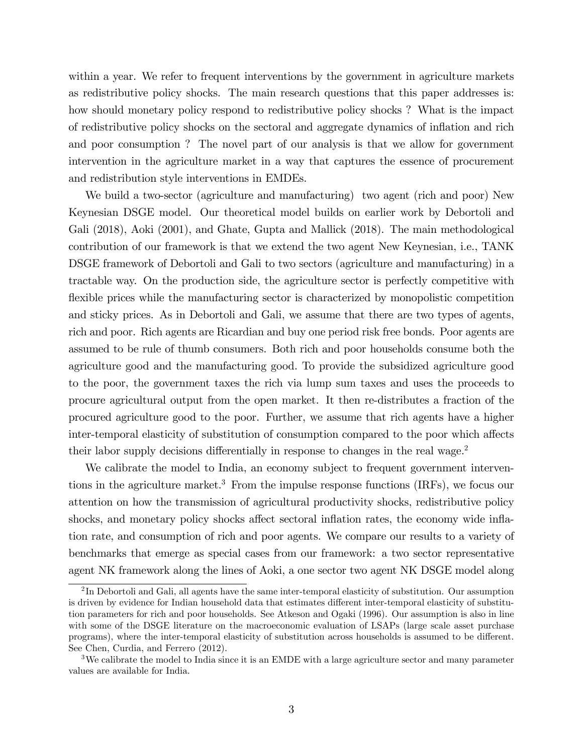within a year. We refer to frequent interventions by the government in agriculture markets as redistributive policy shocks. The main research questions that this paper addresses is: how should monetary policy respond to redistributive policy shocks ? What is the impact of redistributive policy shocks on the sectoral and aggregate dynamics of ináation and rich and poor consumption ? The novel part of our analysis is that we allow for government intervention in the agriculture market in a way that captures the essence of procurement and redistribution style interventions in EMDEs.

We build a two-sector (agriculture and manufacturing) two agent (rich and poor) New Keynesian DSGE model. Our theoretical model builds on earlier work by Debortoli and Gali (2018), Aoki (2001), and Ghate, Gupta and Mallick (2018). The main methodological contribution of our framework is that we extend the two agent New Keynesian, i.e., TANK DSGE framework of Debortoli and Gali to two sectors (agriculture and manufacturing) in a tractable way. On the production side, the agriculture sector is perfectly competitive with flexible prices while the manufacturing sector is characterized by monopolistic competition and sticky prices. As in Debortoli and Gali, we assume that there are two types of agents, rich and poor. Rich agents are Ricardian and buy one period risk free bonds. Poor agents are assumed to be rule of thumb consumers. Both rich and poor households consume both the agriculture good and the manufacturing good. To provide the subsidized agriculture good to the poor, the government taxes the rich via lump sum taxes and uses the proceeds to procure agricultural output from the open market. It then re-distributes a fraction of the procured agriculture good to the poor. Further, we assume that rich agents have a higher inter-temporal elasticity of substitution of consumption compared to the poor which affects their labor supply decisions differentially in response to changes in the real wage.<sup>2</sup>

We calibrate the model to India, an economy subject to frequent government interventions in the agriculture market.<sup>3</sup> From the impulse response functions (IRFs), we focus our attention on how the transmission of agricultural productivity shocks, redistributive policy shocks, and monetary policy shocks affect sectoral inflation rates, the economy wide inflation rate, and consumption of rich and poor agents. We compare our results to a variety of benchmarks that emerge as special cases from our framework: a two sector representative agent NK framework along the lines of Aoki, a one sector two agent NK DSGE model along

 ${}^{2}\text{In}$  Debortoli and Gali, all agents have the same inter-temporal elasticity of substitution. Our assumption is driven by evidence for Indian household data that estimates different inter-temporal elasticity of substitution parameters for rich and poor households. See Atkeson and Ogaki (1996). Our assumption is also in line with some of the DSGE literature on the macroeconomic evaluation of LSAPs (large scale asset purchase programs), where the inter-temporal elasticity of substitution across households is assumed to be different. See Chen, Curdia, and Ferrero (2012).

<sup>&</sup>lt;sup>3</sup>We calibrate the model to India since it is an EMDE with a large agriculture sector and many parameter values are available for India.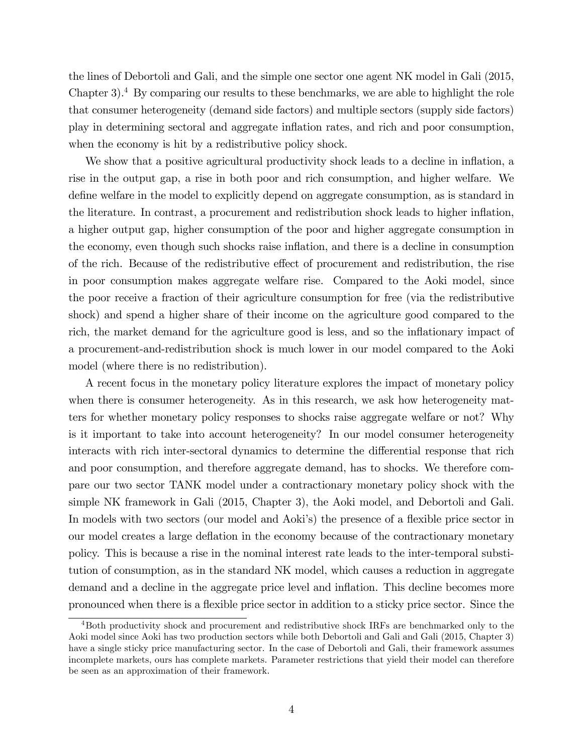the lines of Debortoli and Gali, and the simple one sector one agent NK model in Gali (2015, Chapter 3).<sup>4</sup> By comparing our results to these benchmarks, we are able to highlight the role that consumer heterogeneity (demand side factors) and multiple sectors (supply side factors) play in determining sectoral and aggregate ináation rates, and rich and poor consumption, when the economy is hit by a redistributive policy shock.

We show that a positive agricultural productivity shock leads to a decline in inflation, a rise in the output gap, a rise in both poor and rich consumption, and higher welfare. We define welfare in the model to explicitly depend on aggregate consumption, as is standard in the literature. In contrast, a procurement and redistribution shock leads to higher inflation, a higher output gap, higher consumption of the poor and higher aggregate consumption in the economy, even though such shocks raise ináation, and there is a decline in consumption of the rich. Because of the redistributive effect of procurement and redistribution, the rise in poor consumption makes aggregate welfare rise. Compared to the Aoki model, since the poor receive a fraction of their agriculture consumption for free (via the redistributive shock) and spend a higher share of their income on the agriculture good compared to the rich, the market demand for the agriculture good is less, and so the inflationary impact of a procurement-and-redistribution shock is much lower in our model compared to the Aoki model (where there is no redistribution).

A recent focus in the monetary policy literature explores the impact of monetary policy when there is consumer heterogeneity. As in this research, we ask how heterogeneity matters for whether monetary policy responses to shocks raise aggregate welfare or not? Why is it important to take into account heterogeneity? In our model consumer heterogeneity interacts with rich inter-sectoral dynamics to determine the differential response that rich and poor consumption, and therefore aggregate demand, has to shocks. We therefore compare our two sector TANK model under a contractionary monetary policy shock with the simple NK framework in Gali (2015, Chapter 3), the Aoki model, and Debortoli and Gali. In models with two sectors (our model and Aoki's) the presence of a flexible price sector in our model creates a large deflation in the economy because of the contractionary monetary policy. This is because a rise in the nominal interest rate leads to the inter-temporal substitution of consumption, as in the standard NK model, which causes a reduction in aggregate demand and a decline in the aggregate price level and inflation. This decline becomes more pronounced when there is a áexible price sector in addition to a sticky price sector. Since the

<sup>4</sup>Both productivity shock and procurement and redistributive shock IRFs are benchmarked only to the Aoki model since Aoki has two production sectors while both Debortoli and Gali and Gali (2015, Chapter 3) have a single sticky price manufacturing sector. In the case of Debortoli and Gali, their framework assumes incomplete markets, ours has complete markets. Parameter restrictions that yield their model can therefore be seen as an approximation of their framework.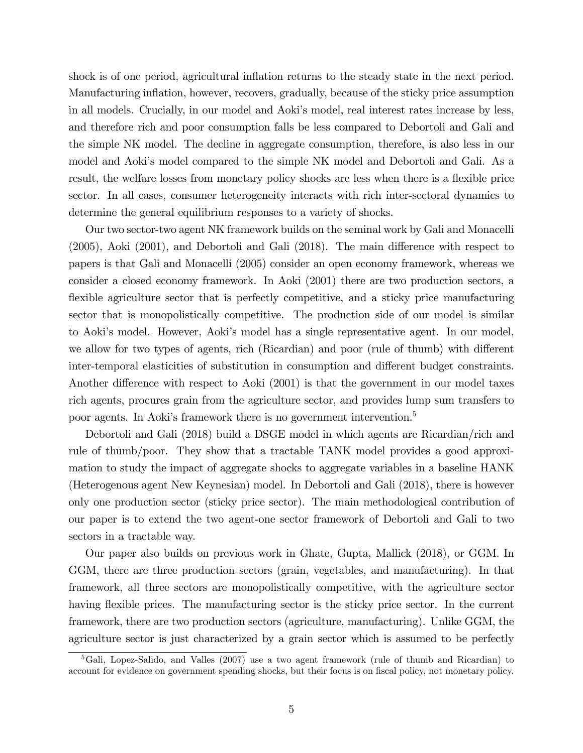shock is of one period, agricultural inflation returns to the steady state in the next period. Manufacturing inflation, however, recovers, gradually, because of the sticky price assumption in all models. Crucially, in our model and Aoki's model, real interest rates increase by less, and therefore rich and poor consumption falls be less compared to Debortoli and Gali and the simple NK model. The decline in aggregate consumption, therefore, is also less in our model and Aoki's model compared to the simple NK model and Debortoli and Gali. As a result, the welfare losses from monetary policy shocks are less when there is a flexible price sector. In all cases, consumer heterogeneity interacts with rich inter-sectoral dynamics to determine the general equilibrium responses to a variety of shocks.

Our two sector-two agent NK framework builds on the seminal work by Gali and Monacelli  $(2005)$ , Aoki  $(2001)$ , and Debortoli and Gali  $(2018)$ . The main difference with respect to papers is that Gali and Monacelli (2005) consider an open economy framework, whereas we consider a closed economy framework. In Aoki (2001) there are two production sectors, a flexible agriculture sector that is perfectly competitive, and a sticky price manufacturing sector that is monopolistically competitive. The production side of our model is similar to Aokiís model. However, Aokiís model has a single representative agent. In our model, we allow for two types of agents, rich (Ricardian) and poor (rule of thumb) with different inter-temporal elasticities of substitution in consumption and different budget constraints. Another difference with respect to Aoki  $(2001)$  is that the government in our model taxes rich agents, procures grain from the agriculture sector, and provides lump sum transfers to poor agents. In Aoki's framework there is no government intervention.<sup>5</sup>

Debortoli and Gali (2018) build a DSGE model in which agents are Ricardian/rich and rule of thumb/poor. They show that a tractable TANK model provides a good approximation to study the impact of aggregate shocks to aggregate variables in a baseline HANK (Heterogenous agent New Keynesian) model. In Debortoli and Gali (2018), there is however only one production sector (sticky price sector). The main methodological contribution of our paper is to extend the two agent-one sector framework of Debortoli and Gali to two sectors in a tractable way.

Our paper also builds on previous work in Ghate, Gupta, Mallick (2018), or GGM. In GGM, there are three production sectors (grain, vegetables, and manufacturing). In that framework, all three sectors are monopolistically competitive, with the agriculture sector having flexible prices. The manufacturing sector is the sticky price sector. In the current framework, there are two production sectors (agriculture, manufacturing). Unlike GGM, the agriculture sector is just characterized by a grain sector which is assumed to be perfectly

 ${}^{5}$ Gali, Lopez-Salido, and Valles (2007) use a two agent framework (rule of thumb and Ricardian) to account for evidence on government spending shocks, but their focus is on fiscal policy, not monetary policy.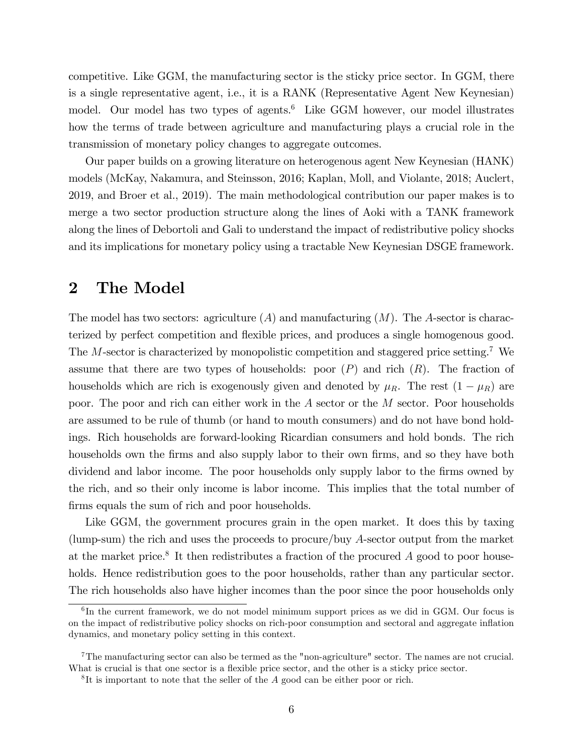competitive. Like GGM, the manufacturing sector is the sticky price sector. In GGM, there is a single representative agent, i.e., it is a RANK (Representative Agent New Keynesian) model. Our model has two types of agents.<sup>6</sup> Like GGM however, our model illustrates how the terms of trade between agriculture and manufacturing plays a crucial role in the transmission of monetary policy changes to aggregate outcomes.

Our paper builds on a growing literature on heterogenous agent New Keynesian (HANK) models (McKay, Nakamura, and Steinsson, 2016; Kaplan, Moll, and Violante, 2018; Auclert, 2019, and Broer et al., 2019). The main methodological contribution our paper makes is to merge a two sector production structure along the lines of Aoki with a TANK framework along the lines of Debortoli and Gali to understand the impact of redistributive policy shocks and its implications for monetary policy using a tractable New Keynesian DSGE framework.

# 2 The Model

The model has two sectors: agriculture  $(A)$  and manufacturing  $(M)$ . The A-sector is characterized by perfect competition and flexible prices, and produces a single homogenous good. The M-sector is characterized by monopolistic competition and staggered price setting.<sup>7</sup> We assume that there are two types of households: poor  $(P)$  and rich  $(R)$ . The fraction of households which are rich is exogenously given and denoted by  $\mu_R$ . The rest  $(1 - \mu_R)$  are poor. The poor and rich can either work in the A sector or the M sector. Poor households are assumed to be rule of thumb (or hand to mouth consumers) and do not have bond holdings. Rich households are forward-looking Ricardian consumers and hold bonds. The rich households own the firms and also supply labor to their own firms, and so they have both dividend and labor income. The poor households only supply labor to the firms owned by the rich, and so their only income is labor income. This implies that the total number of firms equals the sum of rich and poor households.

Like GGM, the government procures grain in the open market. It does this by taxing (lump-sum) the rich and uses the proceeds to procure/buy A-sector output from the market at the market price.<sup>8</sup> It then redistributes a fraction of the procured  $A$  good to poor households. Hence redistribution goes to the poor households, rather than any particular sector. The rich households also have higher incomes than the poor since the poor households only

<sup>&</sup>lt;sup>6</sup>In the current framework, we do not model minimum support prices as we did in GGM. Our focus is on the impact of redistributive policy shocks on rich-poor consumption and sectoral and aggregate ináation dynamics, and monetary policy setting in this context.

<sup>7</sup>The manufacturing sector can also be termed as the "non-agriculture" sector. The names are not crucial. What is crucial is that one sector is a flexible price sector, and the other is a sticky price sector.

<sup>&</sup>lt;sup>8</sup>It is important to note that the seller of the A good can be either poor or rich.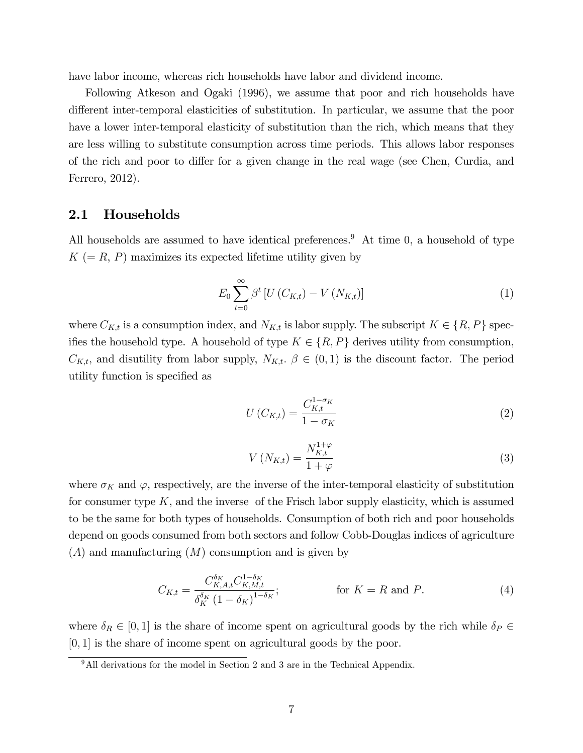have labor income, whereas rich households have labor and dividend income.

Following Atkeson and Ogaki (1996), we assume that poor and rich households have different inter-temporal elasticities of substitution. In particular, we assume that the poor have a lower inter-temporal elasticity of substitution than the rich, which means that they are less willing to substitute consumption across time periods. This allows labor responses of the rich and poor to differ for a given change in the real wage (see Chen, Curdia, and Ferrero, 2012).

### 2.1 Households

All households are assumed to have identical preferences.<sup>9</sup> At time 0, a household of type  $K (= R, P)$  maximizes its expected lifetime utility given by

$$
E_0 \sum_{t=0}^{\infty} \beta^t \left[ U \left( C_{K,t} \right) - V \left( N_{K,t} \right) \right] \tag{1}
$$

where  $C_{K,t}$  is a consumption index, and  $N_{K,t}$  is labor supply. The subscript  $K \in \{R, P\}$  speciftes the household type. A household of type  $K \in \{R, P\}$  derives utility from consumption,  $C_{K,t}$ , and disutility from labor supply,  $N_{K,t}$ .  $\beta \in (0,1)$  is the discount factor. The period utility function is specified as

$$
U\left(C_{K,t}\right) = \frac{C_{K,t}^{1-\sigma_K}}{1-\sigma_K} \tag{2}
$$

$$
V\left(N_{K,t}\right) = \frac{N_{K,t}^{1+\varphi}}{1+\varphi} \tag{3}
$$

where  $\sigma_K$  and  $\varphi$ , respectively, are the inverse of the inter-temporal elasticity of substitution for consumer type  $K$ , and the inverse of the Frisch labor supply elasticity, which is assumed to be the same for both types of households. Consumption of both rich and poor households depend on goods consumed from both sectors and follow Cobb-Douglas indices of agriculture  $(A)$  and manufacturing  $(M)$  consumption and is given by

$$
C_{K,t} = \frac{C_{K,A,t}^{\delta_K} C_{K,M,t}^{1-\delta_K}}{\delta_K^{\delta_K} (1-\delta_K)^{1-\delta_K}};
$$
 for  $K = R$  and P. (4)

where  $\delta_R \in [0, 1]$  is the share of income spent on agricultural goods by the rich while  $\delta_P \in$  $[0, 1]$  is the share of income spent on agricultural goods by the poor.

<sup>&</sup>lt;sup>9</sup>All derivations for the model in Section 2 and 3 are in the Technical Appendix.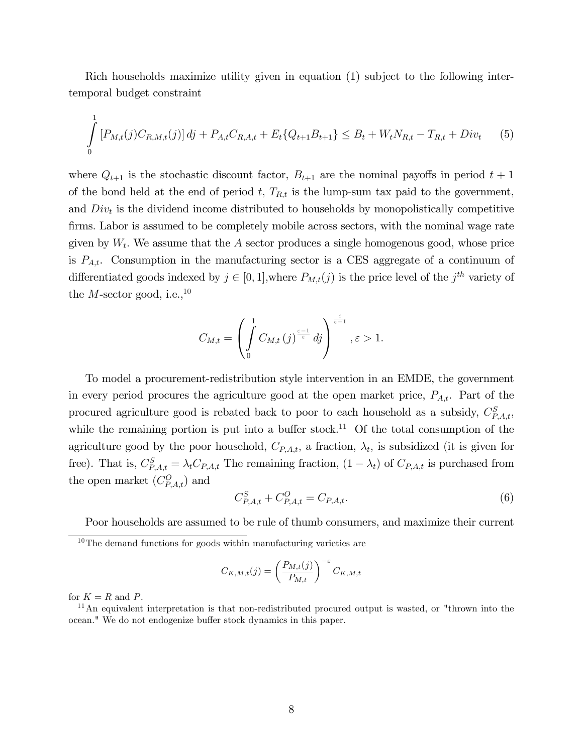Rich households maximize utility given in equation (1) subject to the following intertemporal budget constraint

$$
\int_{0}^{1} \left[ P_{M,t}(j) C_{R,M,t}(j) \right] dj + P_{A,t} C_{R,A,t} + E_t \{ Q_{t+1} B_{t+1} \} \leq B_t + W_t N_{R,t} - T_{R,t} + Div_t \tag{5}
$$

where  $Q_{t+1}$  is the stochastic discount factor,  $B_{t+1}$  are the nominal payoffs in period  $t+1$ of the bond held at the end of period t,  $T_{R,t}$  is the lump-sum tax paid to the government, and  $Div_t$  is the dividend income distributed to households by monopolistically competitive firms. Labor is assumed to be completely mobile across sectors, with the nominal wage rate given by  $W_t$ . We assume that the A sector produces a single homogenous good, whose price is  $P_{A,t}$ . Consumption in the manufacturing sector is a CES aggregate of a continuum of differentiated goods indexed by  $j \in [0, 1]$ , where  $P_{M,t}(j)$  is the price level of the  $j<sup>th</sup>$  variety of the *M*-sector good, i.e.,  $^{10}$ 

$$
C_{M,t}=\left(\int\limits_{0}^{1}C_{M,t}\left(j\right)^{\frac{\varepsilon-1}{\varepsilon}}d j\right)^{\frac{\varepsilon}{\varepsilon-1}},\varepsilon>1.
$$

To model a procurement-redistribution style intervention in an EMDE, the government in every period procures the agriculture good at the open market price,  $P_{A,t}$ . Part of the procured agriculture good is rebated back to poor to each household as a subsidy,  $C_{P,A,t}^S$ , while the remaining portion is put into a buffer stock.<sup>11</sup> Of the total consumption of the agriculture good by the poor household,  $C_{P,A,t}$ , a fraction,  $\lambda_t$ , is subsidized (it is given for free). That is,  $C_{P,A,t}^S = \lambda_t C_{P,A,t}$  The remaining fraction,  $(1 - \lambda_t)$  of  $C_{P,A,t}$  is purchased from the open market  $(C_{P,A,t}^O)$  and

$$
C_{P,A,t}^{S} + C_{P,A,t}^{O} = C_{P,A,t}.
$$
\n(6)

Poor households are assumed to be rule of thumb consumers, and maximize their current

$$
C_{K,M,t}(j) = \left(\frac{P_{M,t}(j)}{P_{M,t}}\right)^{-\varepsilon} C_{K,M,t}
$$

for  $K = R$  and P.

 $10$ The demand functions for goods within manufacturing varieties are

<sup>&</sup>lt;sup>11</sup>An equivalent interpretation is that non-redistributed procured output is wasted, or "thrown into the ocean." We do not endogenize buffer stock dynamics in this paper.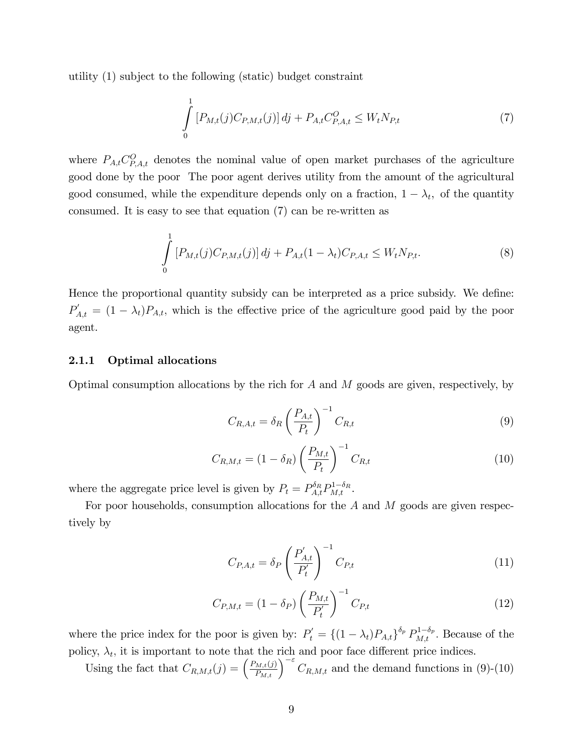utility (1) subject to the following (static) budget constraint

$$
\int_{0}^{1} \left[ P_{M,t}(j) C_{P,M,t}(j) \right] dj + P_{A,t} C_{P,A,t}^{O} \le W_{t} N_{P,t}
$$
\n(7)

where  $P_{A,t}C_{P,A,t}^{O}$  denotes the nominal value of open market purchases of the agriculture good done by the poor The poor agent derives utility from the amount of the agricultural good consumed, while the expenditure depends only on a fraction,  $1 - \lambda_t$ , of the quantity consumed. It is easy to see that equation (7) can be re-written as

$$
\int_{0}^{1} \left[ P_{M,t}(j) C_{P,M,t}(j) \right] dj + P_{A,t}(1 - \lambda_t) C_{P,A,t} \le W_t N_{P,t}.
$$
\n(8)

Hence the proportional quantity subsidy can be interpreted as a price subsidy. We define:  $P'_{A,t} = (1 - \lambda_t)P_{A,t}$ , which is the effective price of the agriculture good paid by the poor agent.

#### 2.1.1 Optimal allocations

Optimal consumption allocations by the rich for  $A$  and  $M$  goods are given, respectively, by

$$
C_{R,A,t} = \delta_R \left(\frac{P_{A,t}}{P_t}\right)^{-1} C_{R,t}
$$
\n
$$
(9)
$$

$$
C_{R,M,t} = (1 - \delta_R) \left(\frac{P_{M,t}}{P_t}\right)^{-1} C_{R,t}
$$
\n(10)

where the aggregate price level is given by  $P_t = P_{A,t}^{\delta_R} P_{M,t}^{1-\delta_R}$ .

For poor households, consumption allocations for the  $A$  and  $M$  goods are given respectively by

$$
C_{P,A,t} = \delta_P \left(\frac{P'_{A,t}}{P'_t}\right)^{-1} C_{P,t}
$$
\n(11)

$$
C_{P,M,t} = (1 - \delta_P) \left(\frac{P_{M,t}}{P'_t}\right)^{-1} C_{P,t}
$$
\n(12)

where the price index for the poor is given by:  $P'_t = \{(1 - \lambda_t)P_{A,t}\}^{\delta_p} P_{M,t}^{1-\delta_p}$ . Because of the policy,  $\lambda_t$ , it is important to note that the rich and poor face different price indices.

Using the fact that  $C_{R,M,t}(j) = \left(\frac{P_{M,t}(j)}{P_{M,t}}\right)^{-\varepsilon} C_{R,M,t}$  and the demand functions in (9)-(10)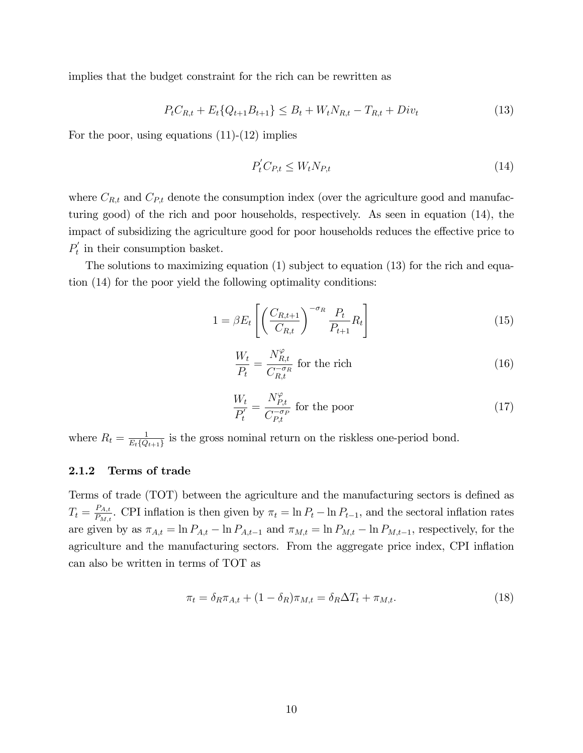implies that the budget constraint for the rich can be rewritten as

$$
P_t C_{R,t} + E_t \{Q_{t+1} B_{t+1}\} \leq B_t + W_t N_{R,t} - T_{R,t} + Div_t \tag{13}
$$

For the poor, using equations  $(11)-(12)$  implies

$$
P_t' C_{P,t} \le W_t N_{P,t} \tag{14}
$$

where  $C_{R,t}$  and  $C_{P,t}$  denote the consumption index (over the agriculture good and manufacturing good) of the rich and poor households, respectively. As seen in equation (14), the impact of subsidizing the agriculture good for poor households reduces the effective price to  $P_{t}'$  $t'$  in their consumption basket.

The solutions to maximizing equation (1) subject to equation (13) for the rich and equation (14) for the poor yield the following optimality conditions:

$$
1 = \beta E_t \left[ \left( \frac{C_{R,t+1}}{C_{R,t}} \right)^{-\sigma_R} \frac{P_t}{P_{t+1}} R_t \right]
$$
(15)

$$
\frac{W_t}{P_t} = \frac{N_{R,t}^{\varphi}}{C_{R,t}^{-\sigma_R}}
$$
 for the rich (16)

$$
\frac{W_t}{P'_t} = \frac{N_{P,t}^{\varphi}}{C_{P,t}^{-\sigma_P}}
$$
 for the poor (17)

where  $R_t = \frac{1}{E_t \Omega}$  $\frac{1}{E_t\{Q_{t+1}\}}$  is the gross nominal return on the riskless one-period bond.

#### 2.1.2 Terms of trade

Terms of trade (TOT) between the agriculture and the manufacturing sectors is defined as  $T_t = \frac{P_{A,t}}{P_{ML}}$  $\frac{P_{A,t}}{P_{M,t}}$ . CPI inflation is then given by  $\pi_t = \ln P_t - \ln P_{t-1}$ , and the sectoral inflation rates are given by as  $\pi_{A,t} = \ln P_{A,t} - \ln P_{A,t-1}$  and  $\pi_{M,t} = \ln P_{M,t} - \ln P_{M,t-1}$ , respectively, for the agriculture and the manufacturing sectors. From the aggregate price index, CPI inflation can also be written in terms of TOT as

$$
\pi_t = \delta_R \pi_{A,t} + (1 - \delta_R) \pi_{M,t} = \delta_R \Delta T_t + \pi_{M,t}.
$$
\n(18)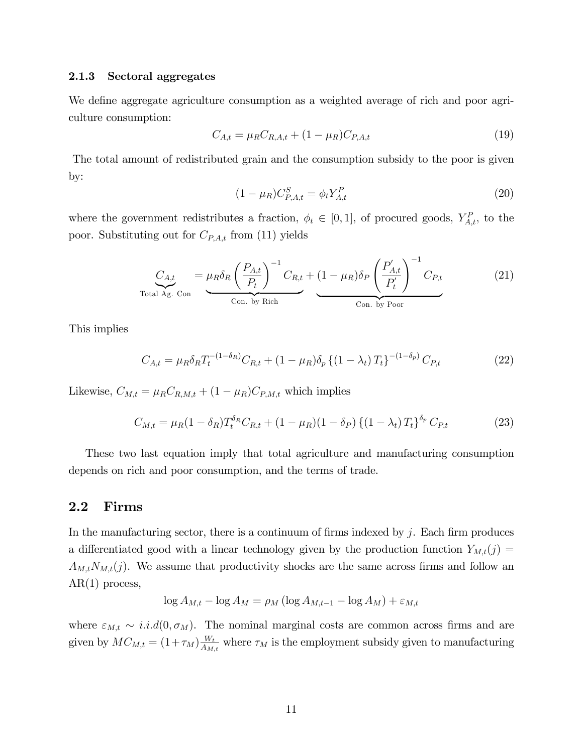#### 2.1.3 Sectoral aggregates

We define aggregate agriculture consumption as a weighted average of rich and poor agriculture consumption:

$$
C_{A,t} = \mu_R C_{R,A,t} + (1 - \mu_R) C_{P,A,t} \tag{19}
$$

The total amount of redistributed grain and the consumption subsidy to the poor is given by:

$$
(1 - \mu_R) C_{P,A,t}^S = \phi_t Y_{A,t}^P
$$
\n(20)

where the government redistributes a fraction,  $\phi_t \in [0,1]$ , of procured goods,  $Y_{A,t}^P$ , to the poor. Substituting out for  $C_{P,A,t}$  from (11) yields

$$
C_{A,t} = \mu_R \delta_R \left(\frac{P_{A,t}}{P_t}\right)^{-1} C_{R,t} + (1 - \mu_R) \delta_P \left(\frac{P'_{A,t}}{P'_t}\right)^{-1} C_{P,t}
$$
(21)  
Total Ag. Con. by Rich

This implies

$$
C_{A,t} = \mu_R \delta_R T_t^{-(1-\delta_R)} C_{R,t} + (1-\mu_R) \delta_p \left\{ (1-\lambda_t) T_t \right\}^{-(1-\delta_p)} C_{P,t}
$$
(22)

Likewise,  $C_{M,t} = \mu_R C_{R,M,t} + (1 - \mu_R)C_{P,M,t}$  which implies

$$
C_{M,t} = \mu_R (1 - \delta_R) T_t^{\delta_R} C_{R,t} + (1 - \mu_R)(1 - \delta_P) \left\{ (1 - \lambda_t) T_t \right\}^{\delta_P} C_{P,t}
$$
(23)

These two last equation imply that total agriculture and manufacturing consumption depends on rich and poor consumption, and the terms of trade.

### 2.2 Firms

In the manufacturing sector, there is a continuum of firms indexed by  $j$ . Each firm produces a differentiated good with a linear technology given by the production function  $Y_{M,t}(j)$  =  $A_{M,t}N_{M,t}(j)$ . We assume that productivity shocks are the same across firms and follow an  $AR(1)$  process,

$$
\log A_{M,t} - \log A_M = \rho_M (\log A_{M,t-1} - \log A_M) + \varepsilon_{M,t}
$$

where  $\varepsilon_{M,t} \sim i.i.d(0,\sigma_M)$ . The nominal marginal costs are common across firms and are given by  $MC_{M,t} = (1+\tau_M) \frac{W_t}{A_M}$  $\frac{W_t}{A_{M,t}}$  where  $\tau_M$  is the employment subsidy given to manufacturing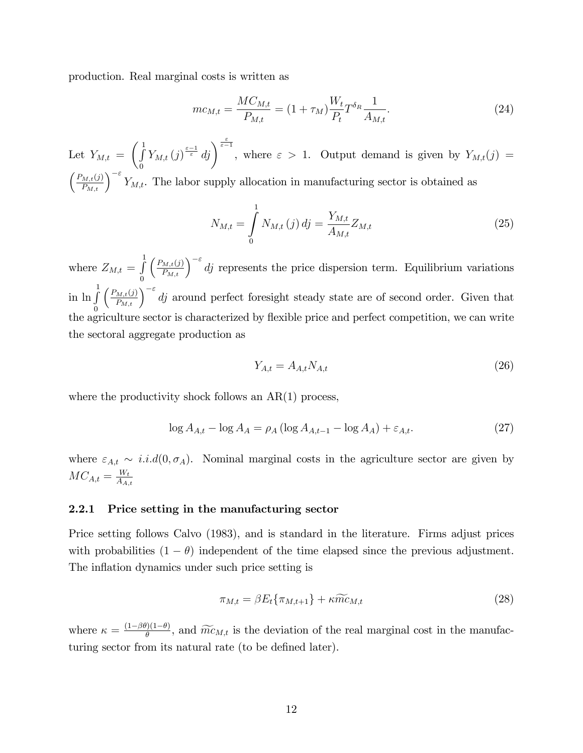production. Real marginal costs is written as

$$
mc_{M,t} = \frac{MC_{M,t}}{P_{M,t}} = (1 + \tau_M) \frac{W_t}{P_t} T^{\delta_R} \frac{1}{A_{M,t}}.
$$
\n(24)

Let  $Y_{M,t} =$  $\begin{pmatrix} 1 \\ 1 \end{pmatrix}$  $\boldsymbol{0}$  $Y_{M,t}(j)^{\frac{\varepsilon-1}{\varepsilon}} d j$ , where  $\varepsilon > 1$ . Output demand is given by  $Y_{M,t}(j) =$  $\left(\frac{P_{M,t}(j)}{P_{M,t}}\right)^{-\varepsilon} Y_{M,t}$ . The labor supply allocation in manufacturing sector is obtained as

$$
N_{M,t} = \int_{0}^{1} N_{M,t}(j) \, dj = \frac{Y_{M,t}}{A_{M,t}} Z_{M,t} \tag{25}
$$

where  $Z_{M,t} = \int_0^1$  $\boldsymbol{0}$  $\left(\frac{P_{M,t}(j)}{P_{M,t}}\right)^{-\varepsilon}$  dj represents the price dispersion term. Equilibrium variations in  $\ln \int$ 0  $\left(\frac{P_{M,t}(j)}{P_{M,t}}\right)^{-\varepsilon}$  dj around perfect foresight steady state are of second order. Given that the agriculture sector is characterized by flexible price and perfect competition, we can write the sectoral aggregate production as

$$
Y_{A,t} = A_{A,t} N_{A,t} \tag{26}
$$

where the productivity shock follows an AR(1) process,

$$
\log A_{A,t} - \log A_A = \rho_A \left( \log A_{A,t-1} - \log A_A \right) + \varepsilon_{A,t}.
$$
 (27)

where  $\varepsilon_{A,t} \sim i.i.d(0,\sigma_A)$ . Nominal marginal costs in the agriculture sector are given by  $MC_{A,t} = \frac{W_t}{A_A}$  $A_{A,t}$ 

#### 2.2.1 Price setting in the manufacturing sector

Price setting follows Calvo (1983), and is standard in the literature. Firms adjust prices with probabilities  $(1 - \theta)$  independent of the time elapsed since the previous adjustment. The inflation dynamics under such price setting is

$$
\pi_{M,t} = \beta E_t \{ \pi_{M,t+1} \} + \kappa \widetilde{m} c_{M,t} \tag{28}
$$

where  $\kappa = \frac{(1-\beta\theta)(1-\theta)}{\theta}$  $\widetilde{\theta}^{(1,-\theta)}$ , and  $\widetilde{mc}_{M,t}$  is the deviation of the real marginal cost in the manufacturing sector from its natural rate (to be defined later).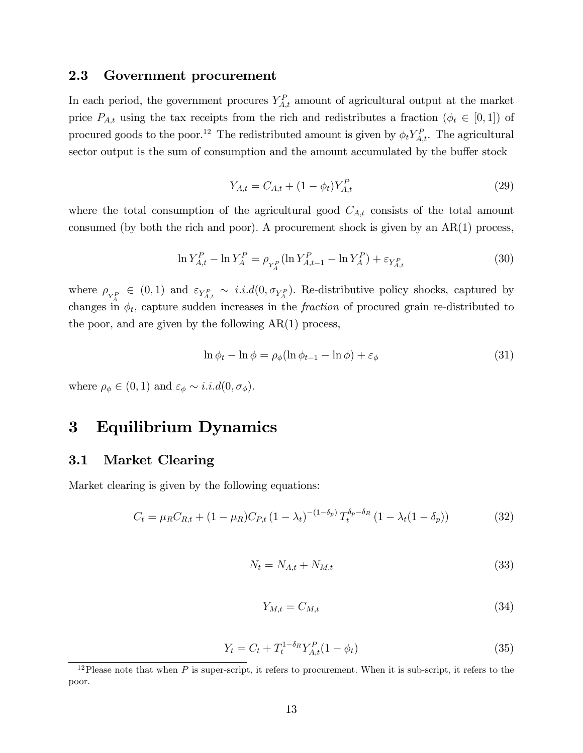### 2.3 Government procurement

In each period, the government procures  $Y_{A,t}^P$  amount of agricultural output at the market price  $P_{A,t}$  using the tax receipts from the rich and redistributes a fraction  $(\phi_t \in [0,1])$  of procured goods to the poor.<sup>12</sup> The redistributed amount is given by  $\phi_t Y_{A,t}^P$ . The agricultural sector output is the sum of consumption and the amount accumulated by the buffer stock

$$
Y_{A,t} = C_{A,t} + (1 - \phi_t) Y_{A,t}^P
$$
\n(29)

where the total consumption of the agricultural good  $C_{A,t}$  consists of the total amount consumed (by both the rich and poor). A procurement shock is given by an  $AR(1)$  process,

$$
\ln Y_{A,t}^{P} - \ln Y_{A}^{P} = \rho_{Y_{A}^{P}} (\ln Y_{A,t-1}^{P} - \ln Y_{A}^{P}) + \varepsilon_{Y_{A,t}^{P}}
$$
(30)

where  $\rho_{Y_A^P} \in (0,1)$  and  $\varepsilon_{Y_{A,t}^P} \sim i.i.d(0,\sigma_{Y_A^P})$ . Re-distributive policy shocks, captured by changes in  $\phi_t$ , capture sudden increases in the *fraction* of procured grain re-distributed to the poor, and are given by the following  $AR(1)$  process,

$$
\ln \phi_t - \ln \phi = \rho_\phi (\ln \phi_{t-1} - \ln \phi) + \varepsilon_\phi \tag{31}
$$

where  $\rho_{\phi} \in (0, 1)$  and  $\varepsilon_{\phi} \sim i.i.d(0, \sigma_{\phi}).$ 

# 3 Equilibrium Dynamics

### 3.1 Market Clearing

Market clearing is given by the following equations:

$$
C_t = \mu_R C_{R,t} + (1 - \mu_R) C_{P,t} (1 - \lambda_t)^{-(1 - \delta_p)} T_t^{\delta_p - \delta_R} (1 - \lambda_t (1 - \delta_p))
$$
(32)

$$
N_t = N_{A,t} + N_{M,t} \tag{33}
$$

$$
Y_{M,t} = C_{M,t} \tag{34}
$$

$$
Y_t = C_t + T_t^{1-\delta_R} Y_{A,t}^P (1 - \phi_t)
$$
\n(35)

<sup>&</sup>lt;sup>12</sup>Please note that when  $P$  is super-script, it refers to procurement. When it is sub-script, it refers to the poor.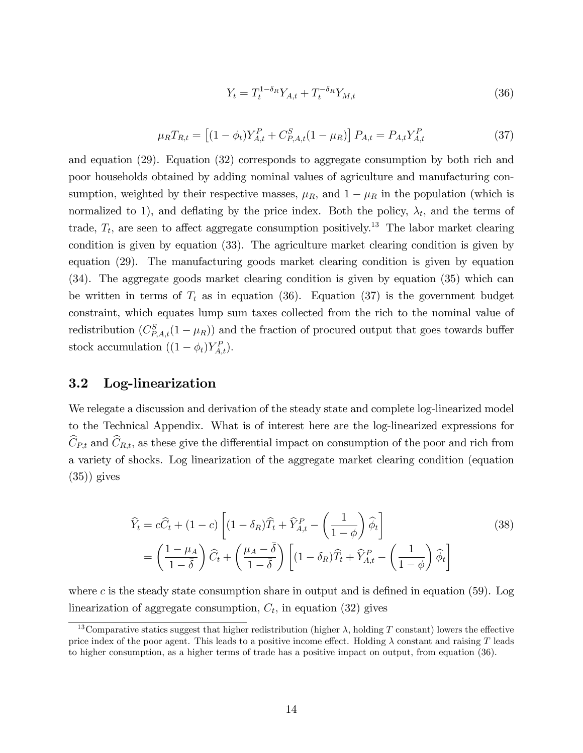$$
Y_t = T_t^{1 - \delta_R} Y_{A,t} + T_t^{-\delta_R} Y_{M,t}
$$
\n(36)

$$
\mu_R T_{R,t} = \left[ (1 - \phi_t) Y_{A,t}^P + C_{P,A,t}^S (1 - \mu_R) \right] P_{A,t} = P_{A,t} Y_{A,t}^P \tag{37}
$$

and equation (29). Equation (32) corresponds to aggregate consumption by both rich and poor households obtained by adding nominal values of agriculture and manufacturing consumption, weighted by their respective masses,  $\mu_R$ , and  $1 - \mu_R$  in the population (which is normalized to 1), and deflating by the price index. Both the policy,  $\lambda_t$ , and the terms of trade,  $T_t$ , are seen to affect aggregate consumption positively.<sup>13</sup> The labor market clearing condition is given by equation (33). The agriculture market clearing condition is given by equation (29). The manufacturing goods market clearing condition is given by equation (34). The aggregate goods market clearing condition is given by equation (35) which can be written in terms of  $T_t$  as in equation (36). Equation (37) is the government budget constraint, which equates lump sum taxes collected from the rich to the nominal value of redistribution  $(C_{P,A,t}^S(1-\mu_R))$  and the fraction of procured output that goes towards buffer stock accumulation  $((1 - \phi_t)Y_{A,t}^P)$ .

### 3.2 Log-linearization

We relegate a discussion and derivation of the steady state and complete log-linearized model to the Technical Appendix. What is of interest here are the log-linearized expressions for  $\hat{C}_{P,t}$  and  $\hat{C}_{R,t}$ , as these give the differential impact on consumption of the poor and rich from a variety of shocks. Log linearization of the aggregate market clearing condition (equation  $(35)$ ) gives

$$
\widehat{Y}_t = c\widehat{C}_t + (1 - c) \left[ (1 - \delta_R)\widehat{T}_t + \widehat{Y}_{A,t}^P - \left(\frac{1}{1 - \phi}\right)\widehat{\phi}_t \right]
$$
\n
$$
= \left(\frac{1 - \mu_A}{1 - \overline{\delta}}\right)\widehat{C}_t + \left(\frac{\mu_A - \overline{\delta}}{1 - \overline{\delta}}\right) \left[ (1 - \delta_R)\widehat{T}_t + \widehat{Y}_{A,t}^P - \left(\frac{1}{1 - \phi}\right)\widehat{\phi}_t \right]
$$
\n(38)

where c is the steady state consumption share in output and is defined in equation  $(59)$ . Log linearization of aggregate consumption,  $C_t$ , in equation (32) gives

<sup>&</sup>lt;sup>13</sup>Comparative statics suggest that higher redistribution (higher  $\lambda$ , holding T constant) lowers the effective price index of the poor agent. This leads to a positive income effect. Holding  $\lambda$  constant and raising T leads to higher consumption, as a higher terms of trade has a positive impact on output, from equation (36).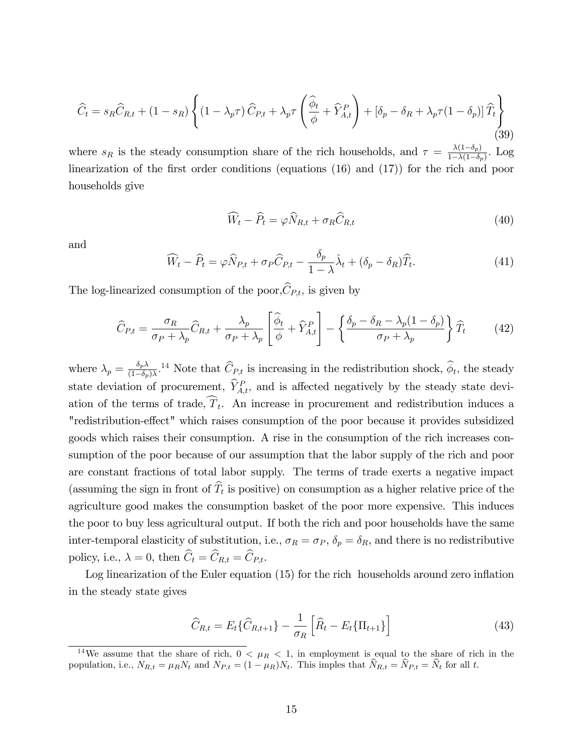$$
\widehat{C}_{t} = s_{R}\widehat{C}_{R,t} + (1 - s_{R})\left\{ (1 - \lambda_{p}\tau)\,\widehat{C}_{P,t} + \lambda_{p}\tau\left(\frac{\widehat{\phi}_{t}}{\phi} + \widehat{Y}_{A,t}^{P}\right) + \left[\delta_{p} - \delta_{R} + \lambda_{p}\tau(1 - \delta_{p})\right]\widehat{T}_{t}\right\}
$$
\n(39)

where  $s_R$  is the steady consumption share of the rich households, and  $\tau = \frac{\lambda(1-\delta_p)}{1-\lambda(1-\delta_p)}$  $\frac{\lambda(1-\delta_p)}{1-\lambda(1-\delta_p)}$ . Log linearization of the first order conditions (equations  $(16)$  and  $(17)$ ) for the rich and poor households give

$$
\widehat{W}_t - \widehat{P}_t = \varphi \widehat{N}_{R,t} + \sigma_R \widehat{C}_{R,t} \tag{40}
$$

and

$$
\widehat{W}_t - \widehat{P}_t = \varphi \widehat{N}_{P,t} + \sigma_P \widehat{C}_{P,t} - \frac{\delta_p}{1 - \lambda} \widehat{\lambda}_t + (\delta_p - \delta_R) \widehat{T}_t.
$$
\n(41)

The log-linearized consumption of the poor,  $\widehat{C}_{P,t}$ , is given by

$$
\widehat{C}_{P,t} = \frac{\sigma_R}{\sigma_P + \lambda_p} \widehat{C}_{R,t} + \frac{\lambda_p}{\sigma_P + \lambda_p} \left[ \frac{\widehat{\phi}_t}{\phi} + \widehat{Y}_{A,t}^P \right] - \left\{ \frac{\delta_p - \delta_R - \lambda_p (1 - \delta_p)}{\sigma_P + \lambda_p} \right\} \widehat{T}_t \tag{42}
$$

where  $\lambda_p = \frac{\delta_p \lambda}{(1-\delta_p)}$  $\frac{\partial p\lambda}{(1-\delta p)\lambda}$ <sup>14</sup> Note that  $\hat{C}_{P,t}$  is increasing in the redistribution shock,  $\hat{\phi}_t$ , the steady state deviation of procurement,  $\hat{Y}_{A,t}^P$ , and is affected negatively by the steady state deviation of the terms of trade,  $T_t$ . An increase in procurement and redistribution induces a "redistribution-effect" which raises consumption of the poor because it provides subsidized goods which raises their consumption. A rise in the consumption of the rich increases consumption of the poor because of our assumption that the labor supply of the rich and poor are constant fractions of total labor supply. The terms of trade exerts a negative impact (assuming the sign in front of  $T_t$  is positive) on consumption as a higher relative price of the agriculture good makes the consumption basket of the poor more expensive. This induces the poor to buy less agricultural output. If both the rich and poor households have the same inter-temporal elasticity of substitution, i.e.,  $\sigma_R = \sigma_P$ ,  $\delta_p = \delta_R$ , and there is no redistributive policy, i.e.,  $\lambda = 0$ , then  $\widehat{C}_t = \widehat{C}_{R,t} = \widehat{C}_{P,t}$ .

Log linearization of the Euler equation  $(15)$  for the rich households around zero inflation in the steady state gives

$$
\widehat{C}_{R,t} = E_t \{ \widehat{C}_{R,t+1} \} - \frac{1}{\sigma_R} \left[ \widehat{R}_t - E_t \{ \Pi_{t+1} \} \right]
$$
(43)

<sup>&</sup>lt;sup>14</sup>We assume that the share of rich,  $0 < \mu_R < 1$ , in employment is equal to the share of rich in the population, i.e.,  $N_{R,t} = \mu_R N_t$  and  $N_{P,t} = (1 - \mu_R)N_t$ . This imples that  $N_{R,t} = N_{P,t} = N_t$  for all t.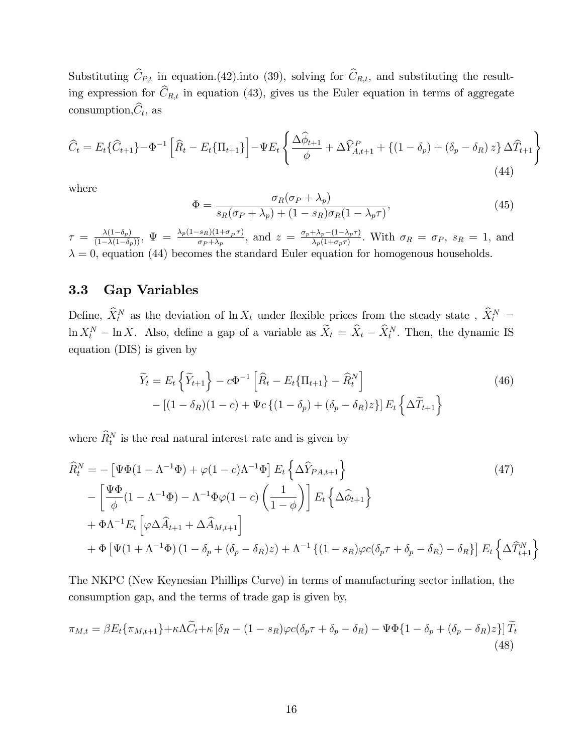Substituting  $\widehat{C}_{P,t}$  in equation.(42).into (39), solving for  $\widehat{C}_{R,t}$ , and substituting the resulting expression for  $\hat{C}_{R,t}$  in equation (43), gives us the Euler equation in terms of aggregate consumption,  $C_t$ , as

$$
\widehat{C}_{t} = E_{t} \{ \widehat{C}_{t+1} \} - \Phi^{-1} \left[ \widehat{R}_{t} - E_{t} \{ \Pi_{t+1} \} \right] - \Psi E_{t} \left\{ \frac{\Delta \widehat{\phi}_{t+1}}{\phi} + \Delta \widehat{Y}_{A,t+1}^{P} + \{ (1 - \delta_{p}) + (\delta_{p} - \delta_{R}) z \} \Delta \widehat{T}_{t+1} \right\}
$$
\n(44)

where

$$
\Phi = \frac{\sigma_R(\sigma_P + \lambda_p)}{s_R(\sigma_P + \lambda_p) + (1 - s_R)\sigma_R(1 - \lambda_p \tau)},\tag{45}
$$

 $\tau \ = \ \frac{\lambda(1-\delta_p)}{(1-\lambda(1-\delta_p))}, \ \Psi \ = \ \frac{\lambda_p(1-s_R)(1+\sigma_p\tau)}{\sigma_P + \lambda_p}$  $\frac{(\sigma_{\rm F} + \lambda_p)(1 + \sigma_p \tau)}{\sigma_P + \lambda_p}$ , and  $z = \frac{\sigma_p + \lambda_p - (1 - \lambda_p \tau)}{\lambda_p(1 + \sigma_p \tau)}$  $\frac{+\lambda_p-(1-\lambda_p\tau)}{\lambda_p(1+\sigma_p\tau)}$ . With  $\sigma_R = \sigma_P$ ,  $s_R = 1$ , and  $\lambda = 0$ , equation (44) becomes the standard Euler equation for homogenous households.

### 3.3 Gap Variables

Define,  $\hat{X}_t^N$  as the deviation of  $\ln X_t$  under flexible prices from the steady state,  $\hat{X}_t^N$  =  $\ln X_t^N - \ln X$ . Also, define a gap of a variable as  $\tilde{X}_t = \tilde{X}_t - \tilde{X}_t^N$ . Then, the dynamic IS equation (DIS) is given by

$$
\widetilde{Y}_t = E_t \left\{ \widetilde{Y}_{t+1} \right\} - c\Phi^{-1} \left[ \widehat{R}_t - E_t \{ \Pi_{t+1} \} - \widehat{R}_t^N \right] \n- \left[ (1 - \delta_R)(1 - c) + \Psi_c \left\{ (1 - \delta_p) + (\delta_p - \delta_R) z \right\} \right] E_t \left\{ \Delta \widetilde{T}_{t+1} \right\}
$$
\n(46)

where  $\widehat{R}_t^N$  is the real natural interest rate and is given by

$$
\widehat{R}_{t}^{N} = -\left[\Psi\Phi(1 - \Lambda^{-1}\Phi) + \varphi(1 - c)\Lambda^{-1}\Phi\right]E_{t}\left\{\Delta\widehat{Y}_{PA,t+1}\right\}
$$
\n
$$
-\left[\frac{\Psi\Phi}{\phi}(1 - \Lambda^{-1}\Phi) - \Lambda^{-1}\Phi\varphi(1 - c)\left(\frac{1}{1 - \phi}\right)\right]E_{t}\left\{\Delta\widehat{\phi}_{t+1}\right\}
$$
\n
$$
+\Phi\Lambda^{-1}E_{t}\left[\varphi\Delta\widehat{A}_{t+1} + \Delta\widehat{A}_{M,t+1}\right]
$$
\n
$$
+\Phi\left[\Psi(1 + \Lambda^{-1}\Phi)(1 - \delta_{p} + (\delta_{p} - \delta_{R})z) + \Lambda^{-1}\left\{(1 - s_{R})\varphi c(\delta_{p}\tau + \delta_{p} - \delta_{R}) - \delta_{R}\right\}\right]E_{t}\left\{\Delta\widehat{T}_{t+1}^{N}\right\}
$$
\n(47)

The NKPC (New Keynesian Phillips Curve) in terms of manufacturing sector inflation, the consumption gap, and the terms of trade gap is given by,

$$
\pi_{M,t} = \beta E_t \{ \pi_{M,t+1} \} + \kappa \Lambda \widetilde{C}_t + \kappa \left[ \delta_R - (1 - s_R) \varphi c (\delta_p \tau + \delta_p - \delta_R) - \Psi \Phi \{ 1 - \delta_p + (\delta_p - \delta_R) z \} \right] \widetilde{T}_t
$$
\n(48)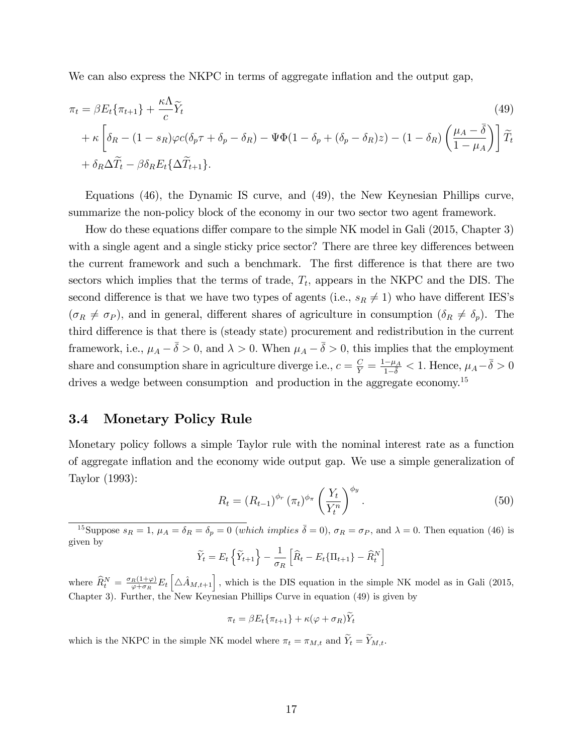We can also express the NKPC in terms of aggregate inflation and the output gap,

$$
\pi_t = \beta E_t \{\pi_{t+1}\} + \frac{\kappa \Lambda}{c} \widetilde{Y}_t
$$
\n
$$
+ \kappa \left[ \delta_R - (1 - s_R) \varphi c (\delta_p \tau + \delta_p - \delta_R) - \Psi \Phi (1 - \delta_p + (\delta_p - \delta_R) z) - (1 - \delta_R) \left( \frac{\mu_A - \bar{\delta}}{1 - \mu_A} \right) \right] \widetilde{T}_t
$$
\n
$$
+ \delta_R \Delta \widetilde{T}_t - \beta \delta_R E_t \{\Delta \widetilde{T}_{t+1}\}.
$$
\n(49)

Equations (46), the Dynamic IS curve, and (49), the New Keynesian Phillips curve, summarize the non-policy block of the economy in our two sector two agent framework.

How do these equations differ compare to the simple NK model in Gali (2015, Chapter 3) with a single agent and a single sticky price sector? There are three key differences between the current framework and such a benchmark. The first difference is that there are two sectors which implies that the terms of trade,  $T_t$ , appears in the NKPC and the DIS. The second difference is that we have two types of agents (i.e.,  $s_R \neq 1$ ) who have different IES's  $(\sigma_R \neq \sigma_P)$ , and in general, different shares of agriculture in consumption  $(\delta_R \neq \delta_P)$ . The third difference is that there is (steady state) procurement and redistribution in the current framework, i.e.,  $\mu_A - \bar{\delta} > 0$ , and  $\lambda > 0$ . When  $\mu_A - \bar{\delta} > 0$ , this implies that the employment share and consumption share in agriculture diverge i.e.,  $c = \frac{C}{Y} = \frac{1-\mu_A}{1-\bar{\delta}} < 1$ . Hence,  $\mu_A - \bar{\delta} > 0$ drives a wedge between consumption and production in the aggregate economy.<sup>15</sup>

### 3.4 Monetary Policy Rule

Monetary policy follows a simple Taylor rule with the nominal interest rate as a function of aggregate inflation and the economy wide output gap. We use a simple generalization of Taylor (1993):

$$
R_t = \left(R_{t-1}\right)^{\phi_r} \left(\pi_t\right)^{\phi_\pi} \left(\frac{Y_t}{Y_t^n}\right)^{\phi_y}.
$$
\n
$$
(50)
$$

<sup>15</sup>Suppose  $s_R = 1$ ,  $\mu_A = \delta_R = \delta_p = 0$  (which implies  $\bar{\delta} = 0$ ),  $\sigma_R = \sigma_P$ , and  $\lambda = 0$ . Then equation (46) is given by

$$
\widetilde{Y}_t = E_t \left\{ \widetilde{Y}_{t+1} \right\} - \frac{1}{\sigma_R} \left[ \widehat{R}_t - E_t \{ \Pi_{t+1} \} - \widehat{R}_t^N \right]
$$

where  $\widehat{R}_{t}^{N} = \frac{\sigma_{R}(1+\varphi)}{\varphi+\sigma_{R}}$  $\frac{R(1+\varphi)}{\varphi+\sigma_R}E_t\left[\Delta \hat{A}_{M,t+1}\right]$ , which is the DIS equation in the simple NK model as in Gali (2015, Chapter 3). Further, the New Keynesian Phillips Curve in equation (49) is given by

$$
\pi_t = \beta E_t \{ \pi_{t+1} \} + \kappa (\varphi + \sigma_R) Y_t
$$

which is the NKPC in the simple NK model where  $\pi_t = \pi_{M,t}$  and  $\widetilde{Y}_t = \widetilde{Y}_{M,t}.$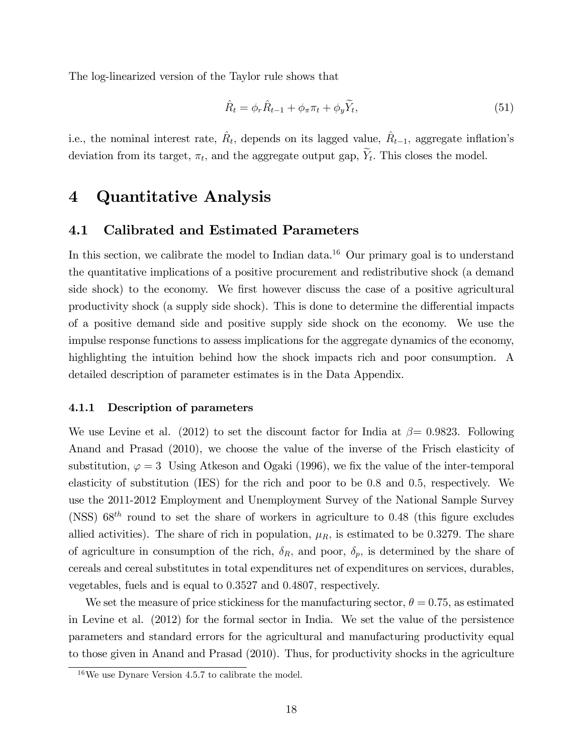The log-linearized version of the Taylor rule shows that

$$
\hat{R}_t = \phi_r \hat{R}_{t-1} + \phi_\pi \pi_t + \phi_y \tilde{Y}_t,\tag{51}
$$

i.e., the nominal interest rate,  $\hat{R}_t$ , depends on its lagged value,  $\hat{R}_{t-1}$ , aggregate inflation's deviation from its target,  $\pi_t$ , and the aggregate output gap,  $Y_t$ . This closes the model.

# 4 Quantitative Analysis

### 4.1 Calibrated and Estimated Parameters

In this section, we calibrate the model to Indian data.<sup>16</sup> Our primary goal is to understand the quantitative implications of a positive procurement and redistributive shock (a demand side shock) to the economy. We first however discuss the case of a positive agricultural productivity shock (a supply side shock). This is done to determine the differential impacts of a positive demand side and positive supply side shock on the economy. We use the impulse response functions to assess implications for the aggregate dynamics of the economy, highlighting the intuition behind how the shock impacts rich and poor consumption. A detailed description of parameter estimates is in the Data Appendix.

#### 4.1.1 Description of parameters

We use Levine et al. (2012) to set the discount factor for India at  $\beta = 0.9823$ . Following Anand and Prasad (2010), we choose the value of the inverse of the Frisch elasticity of substitution,  $\varphi = 3$  Using Atkeson and Ogaki (1996), we fix the value of the inter-temporal elasticity of substitution (IES) for the rich and poor to be 0:8 and 0:5, respectively. We use the 2011-2012 Employment and Unemployment Survey of the National Sample Survey (NSS)  $68^{th}$  round to set the share of workers in agriculture to 0.48 (this figure excludes allied activities). The share of rich in population,  $\mu_R$ , is estimated to be 0.3279. The share of agriculture in consumption of the rich,  $\delta_R$ , and poor,  $\delta_p$ , is determined by the share of cereals and cereal substitutes in total expenditures net of expenditures on services, durables, vegetables, fuels and is equal to 0:3527 and 0:4807; respectively.

We set the measure of price stickiness for the manufacturing sector,  $\theta = 0.75$ , as estimated in Levine et al. (2012) for the formal sector in India. We set the value of the persistence parameters and standard errors for the agricultural and manufacturing productivity equal to those given in Anand and Prasad (2010). Thus, for productivity shocks in the agriculture

<sup>16</sup>We use Dynare Version 4.5.7 to calibrate the model.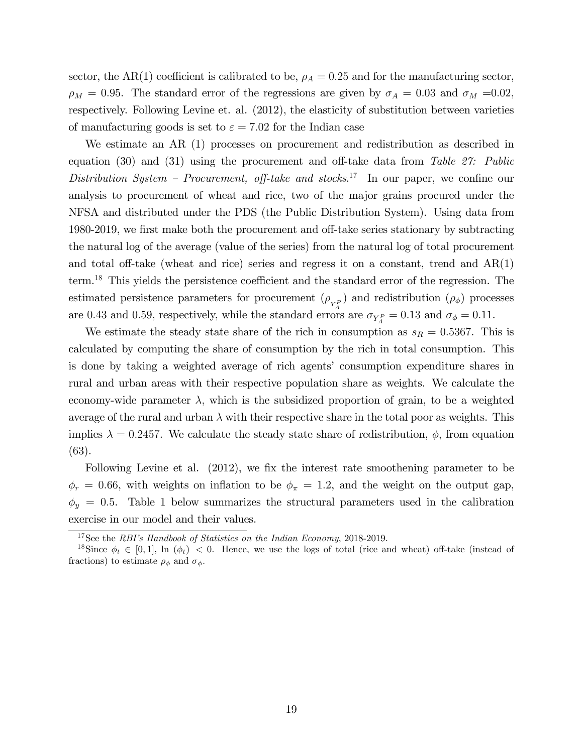sector, the AR(1) coefficient is calibrated to be,  $\rho_A = 0.25$  and for the manufacturing sector,  $\rho_M = 0.95$ . The standard error of the regressions are given by  $\sigma_A = 0.03$  and  $\sigma_M = 0.02$ . respectively. Following Levine et. al. (2012), the elasticity of substitution between varieties of manufacturing goods is set to  $\varepsilon = 7.02$  for the Indian case

We estimate an AR (1) processes on procurement and redistribution as described in equation (30) and (31) using the procurement and off-take data from Table 27: Public Distribution System – Procurement, off-take and stocks.<sup>17</sup> In our paper, we confine our analysis to procurement of wheat and rice, two of the major grains procured under the NFSA and distributed under the PDS (the Public Distribution System). Using data from 1980-2019, we first make both the procurement and off-take series stationary by subtracting the natural log of the average (value of the series) from the natural log of total procurement and total off-take (wheat and rice) series and regress it on a constant, trend and  $AR(1)$  $term.<sup>18</sup>$  This yields the persistence coefficient and the standard error of the regression. The estimated persistence parameters for procurement  $(\rho_{Y_A^P})$  and redistribution  $(\rho_{\phi})$  processes are 0.43 and 0.59, respectively, while the standard errors are  $\sigma_{Y_A^P} = 0.13$  and  $\sigma_{\phi} = 0.11$ .

We estimate the steady state share of the rich in consumption as  $s_R = 0.5367$ . This is calculated by computing the share of consumption by the rich in total consumption. This is done by taking a weighted average of rich agents' consumption expenditure shares in rural and urban areas with their respective population share as weights. We calculate the economy-wide parameter  $\lambda$ , which is the subsidized proportion of grain, to be a weighted average of the rural and urban  $\lambda$  with their respective share in the total poor as weights. This implies  $\lambda = 0.2457$ . We calculate the steady state share of redistribution,  $\phi$ , from equation (63).

Following Levine et al. (2012), we fix the interest rate smoothening parameter to be  $\phi_r = 0.66$ , with weights on inflation to be  $\phi_{\pi} = 1.2$ , and the weight on the output gap,  $\phi_y = 0.5$ . Table 1 below summarizes the structural parameters used in the calibration exercise in our model and their values.

 $17$ See the RBI's Handbook of Statistics on the Indian Economy, 2018-2019.

<sup>&</sup>lt;sup>18</sup>Since  $\phi_t \in [0, 1]$ , ln  $(\phi_t) < 0$ . Hence, we use the logs of total (rice and wheat) off-take (instead of fractions) to estimate  $\rho_{\phi}$  and  $\sigma_{\phi}$ .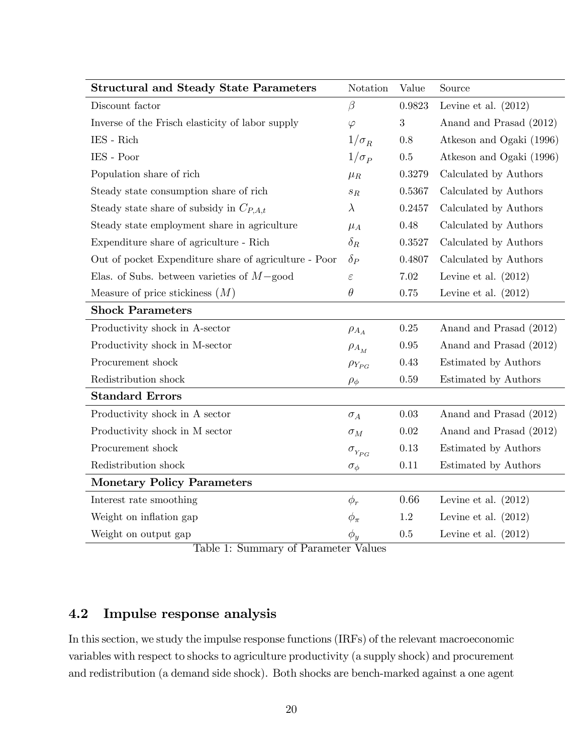| <b>Structural and Steady State Parameters</b>         | Notation                             | Value      | Source                   |
|-------------------------------------------------------|--------------------------------------|------------|--------------------------|
| Discount factor                                       | $\beta$                              | 0.9823     | Levine et al. $(2012)$   |
| Inverse of the Frisch elasticity of labor supply      | $\varphi$                            | $\sqrt{3}$ | Anand and Prasad (2012)  |
| $\operatorname{IES}$ - $\operatorname{Rich}$          | $1/\sigma_R$                         | 0.8        | Atkeson and Ogaki (1996) |
| IES - Poor                                            | $1/\sigma_P$                         | $0.5\,$    | Atkeson and Ogaki (1996) |
| Population share of rich                              | $\mu_R$                              | 0.3279     | Calculated by Authors    |
| Steady state consumption share of rich                | $\mathfrak{s}_R$                     | 0.5367     | Calculated by Authors    |
| Steady state share of subsidy in $C_{P,A,t}$          | $\lambda$                            | 0.2457     | Calculated by Authors    |
| Steady state employment share in agriculture          | $\mu_A$                              | 0.48       | Calculated by Authors    |
| Expenditure share of agriculture - Rich               | $\delta_R$                           | 0.3527     | Calculated by Authors    |
| Out of pocket Expenditure share of agriculture - Poor | $\delta_P$                           | 0.4807     | Calculated by Authors    |
| Elas. of Subs. between varieties of $M$ -good         | $\varepsilon$                        | 7.02       | Levine et al. $(2012)$   |
| Measure of price stickiness $(M)$                     | $\theta$                             | 0.75       | Levine et al. $(2012)$   |
| <b>Shock Parameters</b>                               |                                      |            |                          |
| Productivity shock in A-sector                        | $\rho_{A_A}$                         | 0.25       | Anand and Prasad (2012)  |
| Productivity shock in M-sector                        | $\rho_{A_M}$                         | 0.95       | Anand and Prasad (2012)  |
| Procurement shock                                     | $\rho_{Y_{PG}}$                      | 0.43       | Estimated by Authors     |
| Redistribution shock                                  | $\rho_{\phi}$                        | 0.59       | Estimated by Authors     |
| <b>Standard Errors</b>                                |                                      |            |                          |
| Productivity shock in A sector                        | $\sigma_A$                           | 0.03       | Anand and Prasad (2012)  |
| Productivity shock in M sector                        | $\sigma_M$                           | 0.02       | Anand and Prasad (2012)  |
| Procurement shock                                     | $\sigma_{\scriptscriptstyle Y_{PG}}$ | 0.13       | Estimated by Authors     |
| Redistribution shock                                  | $\sigma_{\phi}$                      | 0.11       | Estimated by Authors     |
| <b>Monetary Policy Parameters</b>                     |                                      |            |                          |
| Interest rate smoothing                               | $\phi_r$                             | 0.66       | Levine et al. $(2012)$   |
| Weight on inflation gap                               | $\phi_{\pi}$                         | $1.2\,$    | Levine et al. $(2012)$   |
| Weight on output gap                                  | $\phi_y$                             | 0.5        | Levine et al. $(2012)$   |

Table 1: Summary of Parameter Values

### 4.2 Impulse response analysis

In this section, we study the impulse response functions (IRFs) of the relevant macroeconomic variables with respect to shocks to agriculture productivity (a supply shock) and procurement and redistribution (a demand side shock). Both shocks are bench-marked against a one agent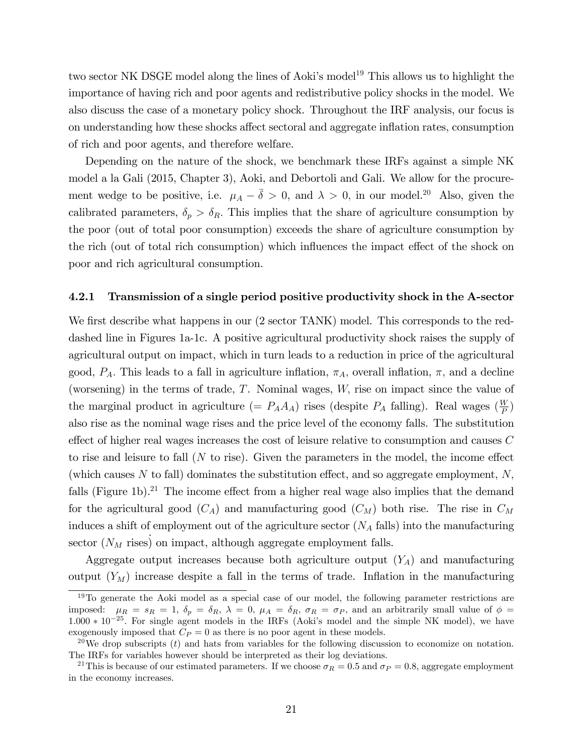two sector NK DSGE model along the lines of Aoki's model<sup>19</sup> This allows us to highlight the importance of having rich and poor agents and redistributive policy shocks in the model. We also discuss the case of a monetary policy shock. Throughout the IRF analysis, our focus is on understanding how these shocks affect sectoral and aggregate inflation rates, consumption of rich and poor agents, and therefore welfare.

Depending on the nature of the shock, we benchmark these IRFs against a simple NK model a la Gali (2015, Chapter 3), Aoki, and Debortoli and Gali. We allow for the procurement wedge to be positive, i.e.  $\mu_A - \bar{\delta} > 0$ , and  $\lambda > 0$ , in our model.<sup>20</sup> Also, given the calibrated parameters,  $\delta_p > \delta_R$ . This implies that the share of agriculture consumption by the poor (out of total poor consumption) exceeds the share of agriculture consumption by the rich (out of total rich consumption) which influences the impact effect of the shock on poor and rich agricultural consumption.

#### 4.2.1 Transmission of a single period positive productivity shock in the A-sector

We first describe what happens in our (2 sector TANK) model. This corresponds to the reddashed line in Figures 1a-1c. A positive agricultural productivity shock raises the supply of agricultural output on impact, which in turn leads to a reduction in price of the agricultural good,  $P_A$ . This leads to a fall in agriculture inflation,  $\pi_A$ , overall inflation,  $\pi$ , and a decline (worsening) in the terms of trade,  $T$ . Nominal wages,  $W$ , rise on impact since the value of the marginal product in agriculture (=  $P_A A_A$ ) rises (despite  $P_A$  falling). Real wages ( $\frac{W}{P}$ )  $\frac{W}{P}$ also rise as the nominal wage rises and the price level of the economy falls. The substitution effect of higher real wages increases the cost of leisure relative to consumption and causes  $C$ to rise and leisure to fall  $(N \text{ to rise})$ . Given the parameters in the model, the income effect (which causes N to fall) dominates the substitution effect, and so aggregate employment,  $N$ , falls (Figure 1b).<sup>21</sup> The income effect from a higher real wage also implies that the demand for the agricultural good  $(C_A)$  and manufacturing good  $(C_M)$  both rise. The rise in  $C_M$ induces a shift of employment out of the agriculture sector  $(N_A \text{ falls})$  into the manufacturing sector  $(N_M$  rises) on impact, although aggregate employment falls.

Aggregate output increases because both agriculture output  $(Y_A)$  and manufacturing output  $(Y_M)$  increase despite a fall in the terms of trade. Inflation in the manufacturing

 $19$ To generate the Aoki model as a special case of our model, the following parameter restrictions are imposed:  $\mu_R = s_R = 1$ ,  $\delta_p = \delta_R$ ,  $\lambda = 0$ ,  $\mu_A = \delta_R$ ,  $\sigma_R = \sigma_P$ , and an arbitrarily small value of  $\phi =$  $1.000 * 10^{-25}$ . For single agent models in the IRFs (Aoki's model and the simple NK model), we have exogenously imposed that  $C_P = 0$  as there is no poor agent in these models.

<sup>&</sup>lt;sup>20</sup>We drop subscripts (t) and hats from variables for the following discussion to economize on notation. The IRFs for variables however should be interpreted as their log deviations.

<sup>&</sup>lt;sup>21</sup>This is because of our estimated parameters. If we choose  $\sigma_R = 0.5$  and  $\sigma_P = 0.8$ , aggregate employment in the economy increases.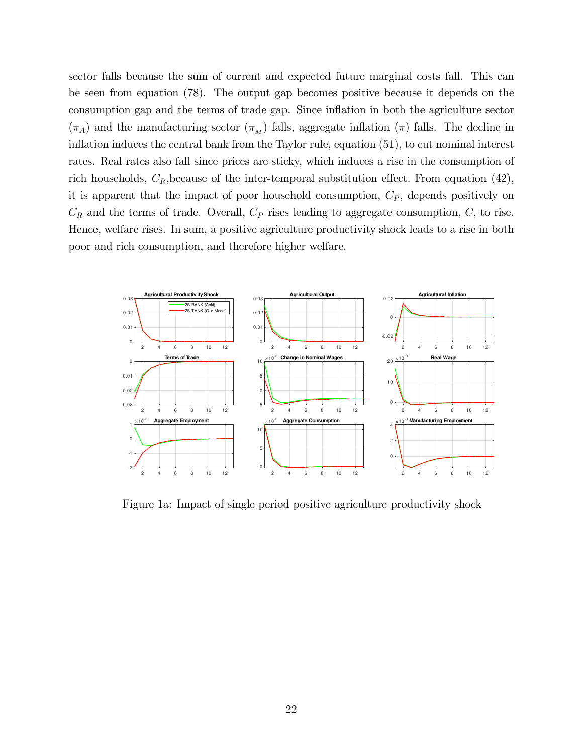sector falls because the sum of current and expected future marginal costs fall. This can be seen from equation (78). The output gap becomes positive because it depends on the consumption gap and the terms of trade gap. Since ináation in both the agriculture sector  $(\pi_A)$  and the manufacturing sector  $(\pi_M)$  falls, aggregate inflation  $(\pi)$  falls. The decline in inflation induces the central bank from the Taylor rule, equation  $(51)$ , to cut nominal interest rates. Real rates also fall since prices are sticky, which induces a rise in the consumption of rich households,  $C_R$ , because of the inter-temporal substitution effect. From equation (42), it is apparent that the impact of poor household consumption,  $C_P$ , depends positively on  $C_R$  and the terms of trade. Overall,  $C_P$  rises leading to aggregate consumption,  $C$ , to rise. Hence, welfare rises. In sum, a positive agriculture productivity shock leads to a rise in both poor and rich consumption, and therefore higher welfare.



Figure 1a: Impact of single period positive agriculture productivity shock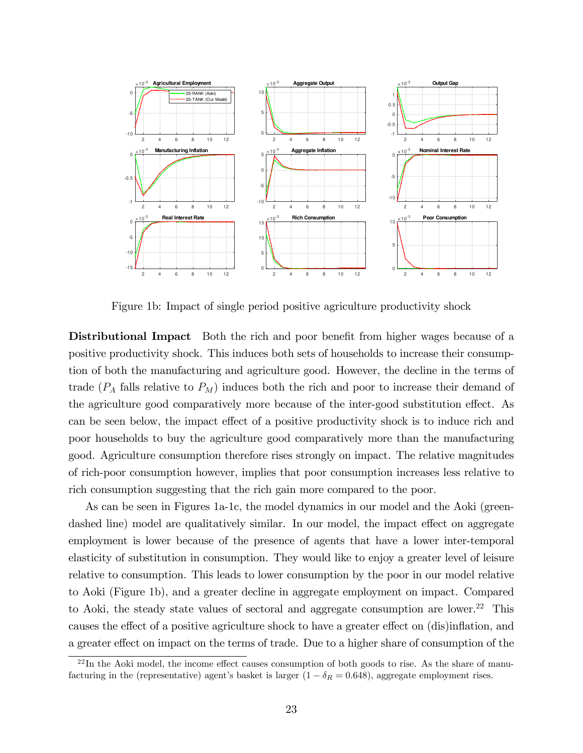

Figure 1b: Impact of single period positive agriculture productivity shock

**Distributional Impact** Both the rich and poor benefit from higher wages because of a positive productivity shock. This induces both sets of households to increase their consumption of both the manufacturing and agriculture good. However, the decline in the terms of trade  $(P_A$  falls relative to  $P_M$ ) induces both the rich and poor to increase their demand of the agriculture good comparatively more because of the inter-good substitution effect. As can be seen below, the impact effect of a positive productivity shock is to induce rich and poor households to buy the agriculture good comparatively more than the manufacturing good. Agriculture consumption therefore rises strongly on impact. The relative magnitudes of rich-poor consumption however, implies that poor consumption increases less relative to rich consumption suggesting that the rich gain more compared to the poor.

As can be seen in Figures 1a-1c, the model dynamics in our model and the Aoki (greendashed line) model are qualitatively similar. In our model, the impact effect on aggregate employment is lower because of the presence of agents that have a lower inter-temporal elasticity of substitution in consumption. They would like to enjoy a greater level of leisure relative to consumption. This leads to lower consumption by the poor in our model relative to Aoki (Figure 1b), and a greater decline in aggregate employment on impact. Compared to Aoki, the steady state values of sectoral and aggregate consumption are lower.<sup>22</sup> This causes the effect of a positive agriculture shock to have a greater effect on (dis)inflation, and a greater effect on impact on the terms of trade. Due to a higher share of consumption of the

 $^{22}$ In the Aoki model, the income effect causes consumption of both goods to rise. As the share of manufacturing in the (representative) agent's basket is larger  $(1 - \delta_R = 0.648)$ , aggregate employment rises.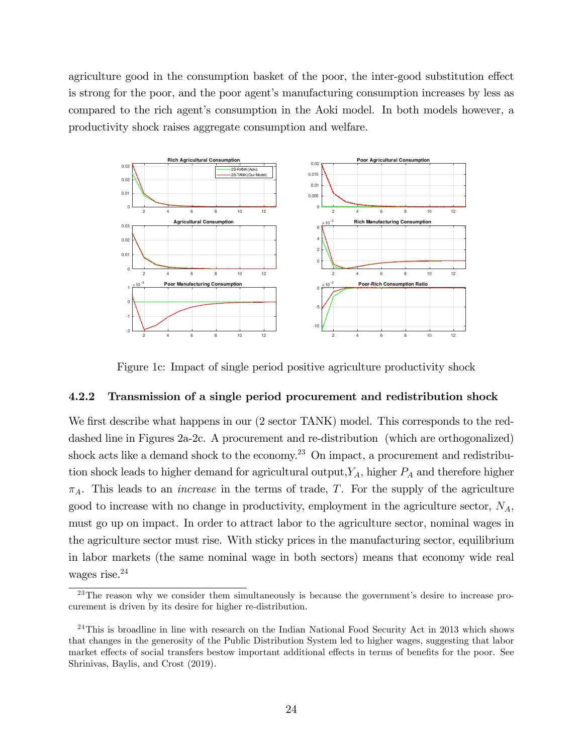agriculture good in the consumption basket of the poor, the inter-good substitution effect is strong for the poor, and the poor agent's manufacturing consumption increases by less as compared to the rich agent's consumption in the Aoki model. In both models however, a productivity shock raises aggregate consumption and welfare.



Figure 1c: Impact of single period positive agriculture productivity shock

#### 4.2.2 Transmission of a single period procurement and redistribution shock

We first describe what happens in our (2 sector TANK) model. This corresponds to the reddashed line in Figures 2a-2c. A procurement and re-distribution (which are orthogonalized) shock acts like a demand shock to the economy.<sup>23</sup> On impact, a procurement and redistribution shock leads to higher demand for agricultural output,  $Y_A$ , higher  $P_A$  and therefore higher  $\pi_A$ . This leads to an *increase* in the terms of trade, T. For the supply of the agriculture good to increase with no change in productivity, employment in the agriculture sector,  $N_A$ , must go up on impact. In order to attract labor to the agriculture sector, nominal wages in the agriculture sector must rise. With sticky prices in the manufacturing sector, equilibrium in labor markets (the same nominal wage in both sectors) means that economy wide real wages rise.<sup>24</sup>

 $^{23}$ The reason why we consider them simultaneously is because the government's desire to increase procurement is driven by its desire for higher re-distribution.

<sup>&</sup>lt;sup>24</sup>This is broadline in line with research on the Indian National Food Security Act in 2013 which shows that changes in the generosity of the Public Distribution System led to higher wages, suggesting that labor market effects of social transfers bestow important additional effects in terms of benefits for the poor. See Shrinivas, Baylis, and Crost (2019).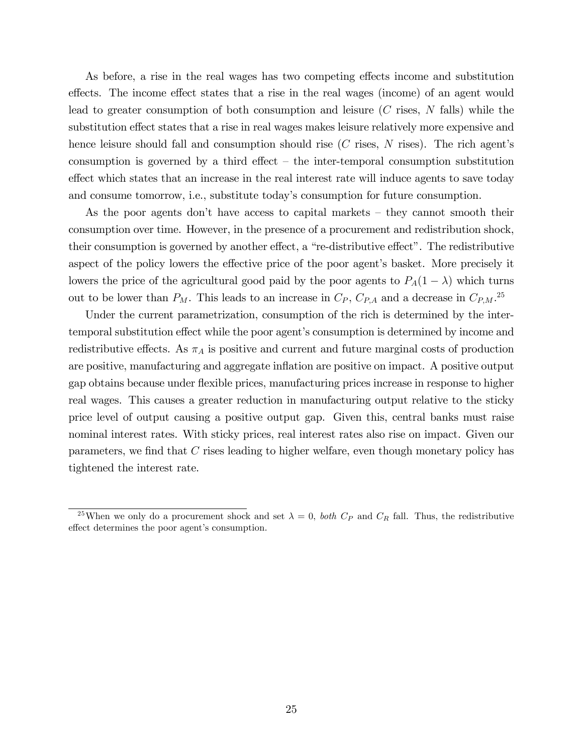As before, a rise in the real wages has two competing effects income and substitution effects. The income effect states that a rise in the real wages (income) of an agent would lead to greater consumption of both consumption and leisure (C rises, N falls) while the substitution effect states that a rise in real wages makes leisure relatively more expensive and hence leisure should fall and consumption should rise  $(C$  rises,  $N$  rises). The rich agent's consumption is governed by a third effect  $-$  the inter-temporal consumption substitution effect which states that an increase in the real interest rate will induce agents to save today and consume tomorrow, i.e., substitute today's consumption for future consumption.

As the poor agents don't have access to capital markets  $-$  they cannot smooth their consumption over time. However, in the presence of a procurement and redistribution shock, their consumption is governed by another effect, a "re-distributive effect". The redistributive aspect of the policy lowers the effective price of the poor agent's basket. More precisely it lowers the price of the agricultural good paid by the poor agents to  $P_A(1 - \lambda)$  which turns out to be lower than  $P_M$ . This leads to an increase in  $C_P$ ,  $C_{P,A}$  and a decrease in  $C_{P,M}$ <sup>25</sup>

Under the current parametrization, consumption of the rich is determined by the intertemporal substitution effect while the poor agent's consumption is determined by income and redistributive effects. As  $\pi_A$  is positive and current and future marginal costs of production are positive, manufacturing and aggregate inflation are positive on impact. A positive output gap obtains because under áexible prices, manufacturing prices increase in response to higher real wages. This causes a greater reduction in manufacturing output relative to the sticky price level of output causing a positive output gap. Given this, central banks must raise nominal interest rates. With sticky prices, real interest rates also rise on impact. Given our parameters, we find that  $C$  rises leading to higher welfare, even though monetary policy has tightened the interest rate.

<sup>&</sup>lt;sup>25</sup>When we only do a procurement shock and set  $\lambda = 0$ , *both*  $C_P$  and  $C_R$  fall. Thus, the redistributive effect determines the poor agent's consumption.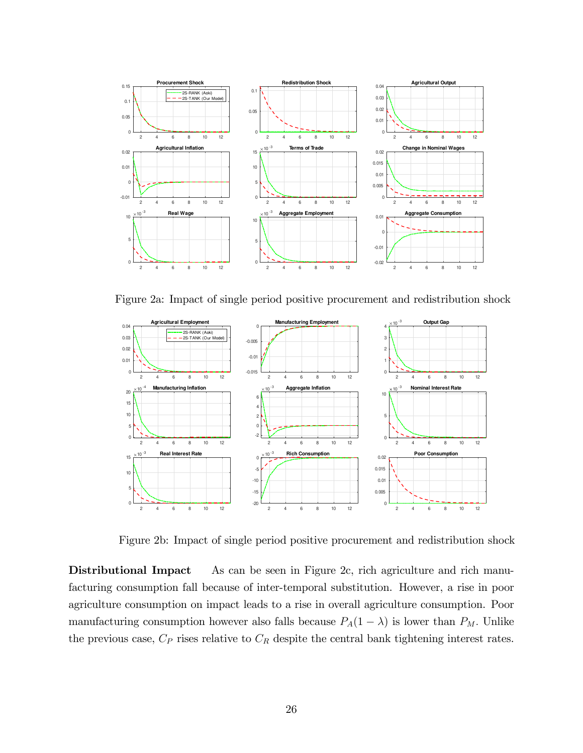

Figure 2a: Impact of single period positive procurement and redistribution shock



Figure 2b: Impact of single period positive procurement and redistribution shock

Distributional Impact As can be seen in Figure 2c, rich agriculture and rich manufacturing consumption fall because of inter-temporal substitution. However, a rise in poor agriculture consumption on impact leads to a rise in overall agriculture consumption. Poor manufacturing consumption however also falls because  $P_A(1 - \lambda)$  is lower than  $P_M$ . Unlike the previous case,  $C_P$  rises relative to  $C_R$  despite the central bank tightening interest rates.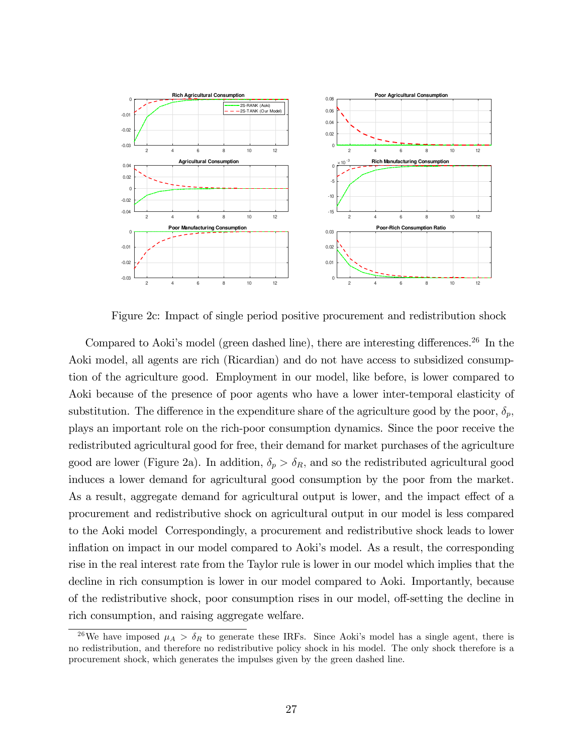

Figure 2c: Impact of single period positive procurement and redistribution shock

Compared to Aoki's model (green dashed line), there are interesting differences.<sup>26</sup> In the Aoki model, all agents are rich (Ricardian) and do not have access to subsidized consumption of the agriculture good. Employment in our model, like before, is lower compared to Aoki because of the presence of poor agents who have a lower inter-temporal elasticity of substitution. The difference in the expenditure share of the agriculture good by the poor,  $\delta_p$ , plays an important role on the rich-poor consumption dynamics. Since the poor receive the redistributed agricultural good for free, their demand for market purchases of the agriculture good are lower (Figure 2a). In addition,  $\delta_p > \delta_R$ , and so the redistributed agricultural good induces a lower demand for agricultural good consumption by the poor from the market. As a result, aggregate demand for agricultural output is lower, and the impact effect of a procurement and redistributive shock on agricultural output in our model is less compared to the Aoki model Correspondingly, a procurement and redistributive shock leads to lower inflation on impact in our model compared to Aoki's model. As a result, the corresponding rise in the real interest rate from the Taylor rule is lower in our model which implies that the decline in rich consumption is lower in our model compared to Aoki. Importantly, because of the redistributive shock, poor consumption rises in our model, off-setting the decline in rich consumption, and raising aggregate welfare.

<sup>&</sup>lt;sup>26</sup>We have imposed  $\mu_A > \delta_R$  to generate these IRFs. Since Aoki's model has a single agent, there is no redistribution, and therefore no redistributive policy shock in his model. The only shock therefore is a procurement shock, which generates the impulses given by the green dashed line.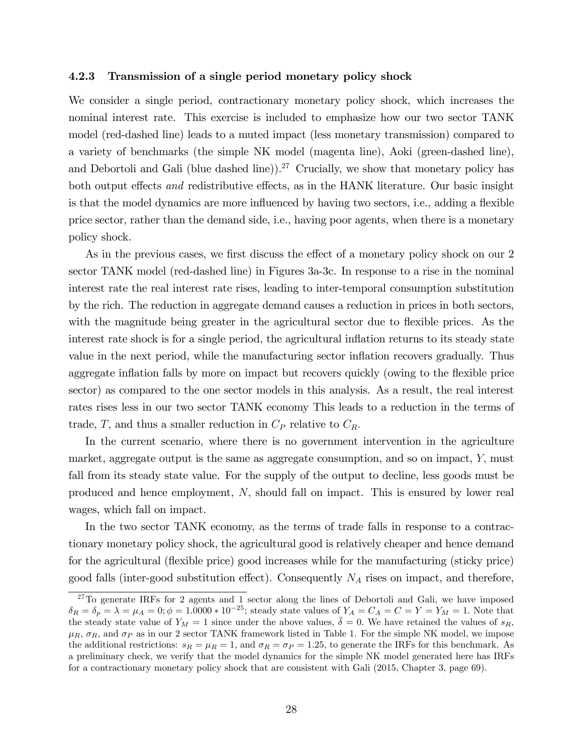#### 4.2.3 Transmission of a single period monetary policy shock

We consider a single period, contractionary monetary policy shock, which increases the nominal interest rate. This exercise is included to emphasize how our two sector TANK model (red-dashed line) leads to a muted impact (less monetary transmission) compared to a variety of benchmarks (the simple NK model (magenta line), Aoki (green-dashed line), and Debortoli and Gali (blue dashed line)).<sup>27</sup> Crucially, we show that monetary policy has both output effects *and* redistributive effects, as in the HANK literature. Our basic insight is that the model dynamics are more influenced by having two sectors, i.e., adding a flexible price sector, rather than the demand side, i.e., having poor agents, when there is a monetary policy shock.

As in the previous cases, we first discuss the effect of a monetary policy shock on our 2 sector TANK model (red-dashed line) in Figures 3a-3c. In response to a rise in the nominal interest rate the real interest rate rises, leading to inter-temporal consumption substitution by the rich. The reduction in aggregate demand causes a reduction in prices in both sectors, with the magnitude being greater in the agricultural sector due to flexible prices. As the interest rate shock is for a single period, the agricultural inflation returns to its steady state value in the next period, while the manufacturing sector inflation recovers gradually. Thus aggregate inflation falls by more on impact but recovers quickly (owing to the flexible price sector) as compared to the one sector models in this analysis. As a result, the real interest rates rises less in our two sector TANK economy This leads to a reduction in the terms of trade, T, and thus a smaller reduction in  $C_P$  relative to  $C_R$ .

In the current scenario, where there is no government intervention in the agriculture market, aggregate output is the same as aggregate consumption, and so on impact,  $Y$ , must fall from its steady state value. For the supply of the output to decline, less goods must be produced and hence employment, N; should fall on impact. This is ensured by lower real wages, which fall on impact.

In the two sector TANK economy, as the terms of trade falls in response to a contractionary monetary policy shock, the agricultural good is relatively cheaper and hence demand for the agricultural (áexible price) good increases while for the manufacturing (sticky price) good falls (inter-good substitution effect). Consequently  $N_A$  rises on impact, and therefore,

<sup>&</sup>lt;sup>27</sup>To generate IRFs for 2 agents and 1 sector along the lines of Debortoli and Gali, we have imposed  $\delta_R = \delta_p = \lambda = \mu_A = 0; \phi = 1.0000 * 10^{-25}$ ; steady state values of  $Y_A = C_A = C = Y = Y_M = 1$ . Note that the steady state value of  $Y_M = 1$  since under the above values,  $\overline{\delta} = 0$ . We have retained the values of  $s_R$ ,  $\mu_R$ ,  $\sigma_R$ , and  $\sigma_P$  as in our 2 sector TANK framework listed in Table 1. For the simple NK model, we impose the additional restrictions:  $s_R = \mu_R = 1$ , and  $\sigma_R = \sigma_P = 1.25$ , to generate the IRFs for this benchmark. As a preliminary check, we verify that the model dynamics for the simple NK model generated here has IRFs for a contractionary monetary policy shock that are consistent with Gali (2015, Chapter 3, page 69).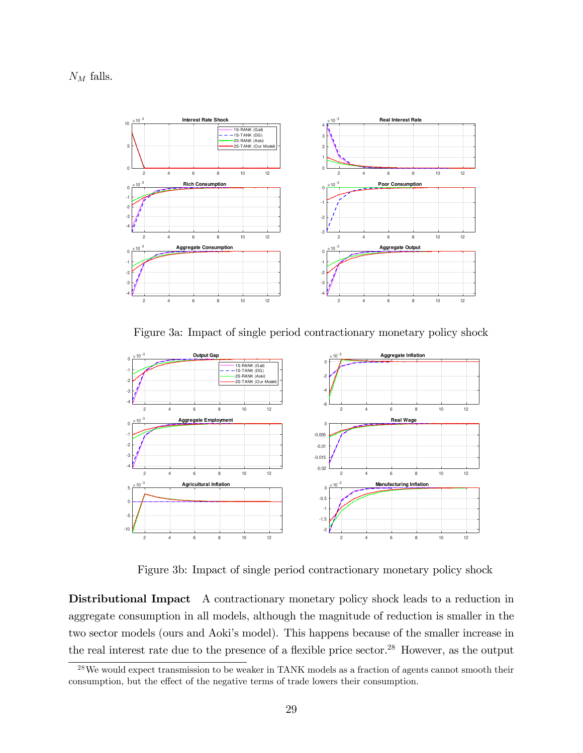$N_M$  falls.



Figure 3a: Impact of single period contractionary monetary policy shock



Figure 3b: Impact of single period contractionary monetary policy shock

Distributional Impact A contractionary monetary policy shock leads to a reduction in aggregate consumption in all models, although the magnitude of reduction is smaller in the two sector models (ours and Aoki's model). This happens because of the smaller increase in the real interest rate due to the presence of a flexible price sector.<sup>28</sup> However, as the output

<sup>28</sup>We would expect transmission to be weaker in TANK models as a fraction of agents cannot smooth their consumption, but the effect of the negative terms of trade lowers their consumption.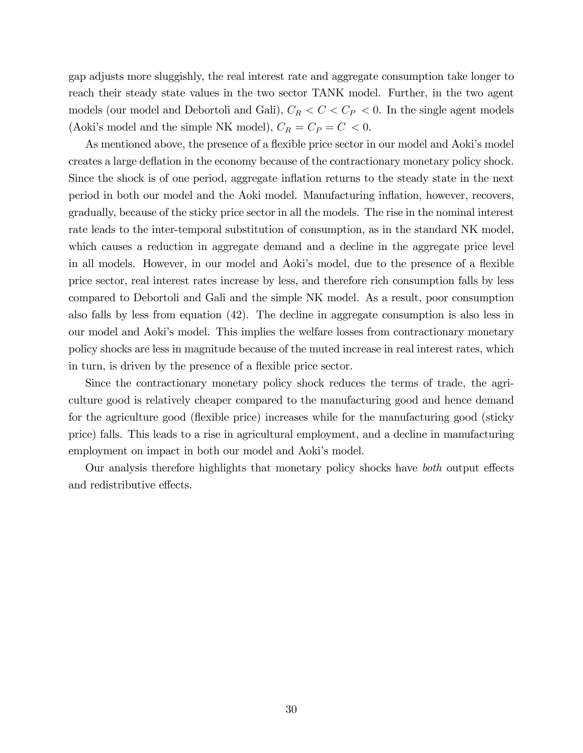gap adjusts more sluggishly, the real interest rate and aggregate consumption take longer to reach their steady state values in the two sector TANK model. Further, in the two agent models (our model and Debortoli and Gali),  $C_R < C < C_P < 0$ . In the single agent models (Aoki's model and the simple NK model),  $C_R = C_P = C < 0$ .

As mentioned above, the presence of a flexible price sector in our model and Aoki's model creates a large deflation in the economy because of the contractionary monetary policy shock. Since the shock is of one period, aggregate inflation returns to the steady state in the next period in both our model and the Aoki model. Manufacturing ináation, however, recovers, gradually, because of the sticky price sector in all the models. The rise in the nominal interest rate leads to the inter-temporal substitution of consumption, as in the standard NK model, which causes a reduction in aggregate demand and a decline in the aggregate price level in all models. However, in our model and Aoki's model, due to the presence of a flexible price sector, real interest rates increase by less, and therefore rich consumption falls by less compared to Debortoli and Gali and the simple NK model. As a result, poor consumption also falls by less from equation (42). The decline in aggregate consumption is also less in our model and Aokiís model. This implies the welfare losses from contractionary monetary policy shocks are less in magnitude because of the muted increase in real interest rates, which in turn, is driven by the presence of a flexible price sector.

Since the contractionary monetary policy shock reduces the terms of trade, the agriculture good is relatively cheaper compared to the manufacturing good and hence demand for the agriculture good (flexible price) increases while for the manufacturing good (sticky price) falls. This leads to a rise in agricultural employment, and a decline in manufacturing employment on impact in both our model and Aoki's model.

Our analysis therefore highlights that monetary policy shocks have *both* output effects and redistributive effects.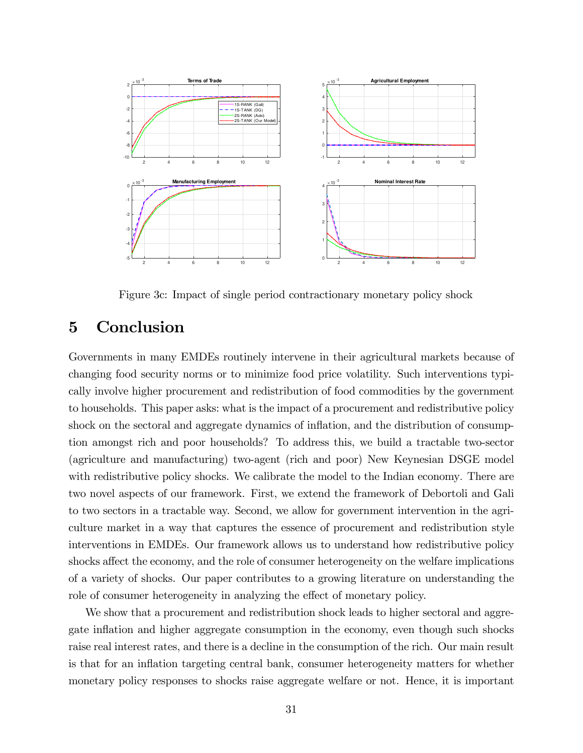

Figure 3c: Impact of single period contractionary monetary policy shock

# 5 Conclusion

Governments in many EMDEs routinely intervene in their agricultural markets because of changing food security norms or to minimize food price volatility. Such interventions typically involve higher procurement and redistribution of food commodities by the government to households. This paper asks: what is the impact of a procurement and redistributive policy shock on the sectoral and aggregate dynamics of inflation, and the distribution of consumption amongst rich and poor households? To address this, we build a tractable two-sector (agriculture and manufacturing) two-agent (rich and poor) New Keynesian DSGE model with redistributive policy shocks. We calibrate the model to the Indian economy. There are two novel aspects of our framework. First, we extend the framework of Debortoli and Gali to two sectors in a tractable way. Second, we allow for government intervention in the agriculture market in a way that captures the essence of procurement and redistribution style interventions in EMDEs. Our framework allows us to understand how redistributive policy shocks affect the economy, and the role of consumer heterogeneity on the welfare implications of a variety of shocks. Our paper contributes to a growing literature on understanding the role of consumer heterogeneity in analyzing the effect of monetary policy.

We show that a procurement and redistribution shock leads to higher sectoral and aggregate inflation and higher aggregate consumption in the economy, even though such shocks raise real interest rates, and there is a decline in the consumption of the rich. Our main result is that for an inflation targeting central bank, consumer heterogeneity matters for whether monetary policy responses to shocks raise aggregate welfare or not. Hence, it is important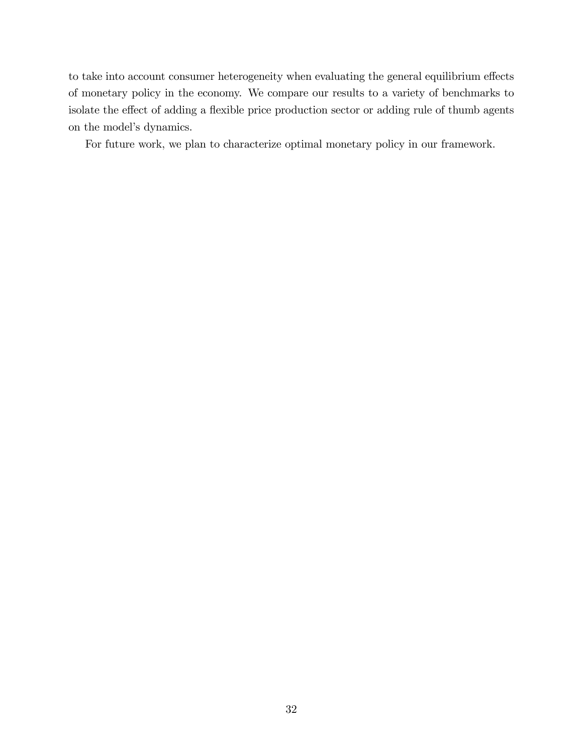to take into account consumer heterogeneity when evaluating the general equilibrium effects of monetary policy in the economy. We compare our results to a variety of benchmarks to isolate the effect of adding a flexible price production sector or adding rule of thumb agents on the model's dynamics.

For future work, we plan to characterize optimal monetary policy in our framework.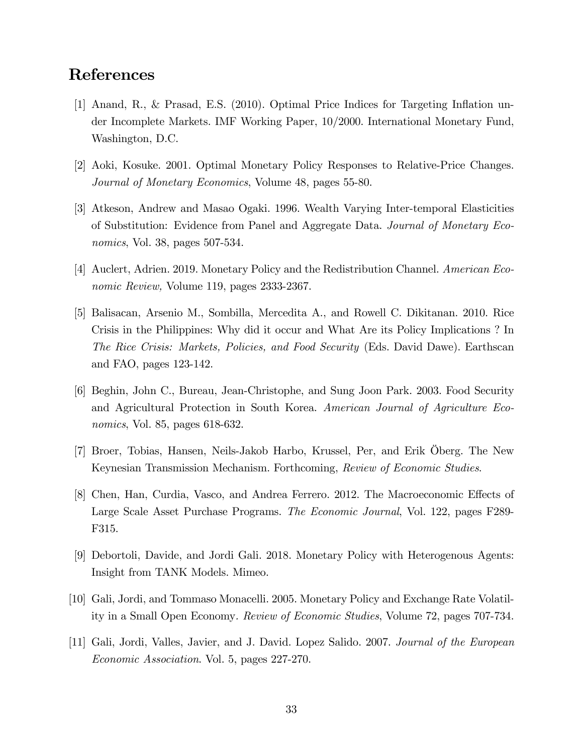# References

- [1] Anand, R., & Prasad, E.S. (2010). Optimal Price Indices for Targeting Ináation under Incomplete Markets. IMF Working Paper, 10/2000. International Monetary Fund, Washington, D.C.
- [2] Aoki, Kosuke. 2001. Optimal Monetary Policy Responses to Relative-Price Changes. Journal of Monetary Economics, Volume 48, pages 55-80.
- [3] Atkeson, Andrew and Masao Ogaki. 1996. Wealth Varying Inter-temporal Elasticities of Substitution: Evidence from Panel and Aggregate Data. Journal of Monetary Economics, Vol. 38, pages 507-534.
- [4] Auclert, Adrien. 2019. Monetary Policy and the Redistribution Channel. American Economic Review, Volume 119, pages 2333-2367.
- [5] Balisacan, Arsenio M., Sombilla, Mercedita A., and Rowell C. Dikitanan. 2010. Rice Crisis in the Philippines: Why did it occur and What Are its Policy Implications ? In The Rice Crisis: Markets, Policies, and Food Security (Eds. David Dawe). Earthscan and FAO, pages 123-142.
- [6] Beghin, John C., Bureau, Jean-Christophe, and Sung Joon Park. 2003. Food Security and Agricultural Protection in South Korea. American Journal of Agriculture Economics, Vol. 85, pages 618-632.
- [7] Broer, Tobias, Hansen, Neils-Jakob Harbo, Krussel, Per, and Erik Oberg. The New Keynesian Transmission Mechanism. Forthcoming, Review of Economic Studies.
- [8] Chen, Han, Curdia, Vasco, and Andrea Ferrero. 2012. The Macroeconomic Effects of Large Scale Asset Purchase Programs. The Economic Journal, Vol. 122, pages F289- F315.
- [9] Debortoli, Davide, and Jordi Gali. 2018. Monetary Policy with Heterogenous Agents: Insight from TANK Models. Mimeo.
- [10] Gali, Jordi, and Tommaso Monacelli. 2005. Monetary Policy and Exchange Rate Volatility in a Small Open Economy. Review of Economic Studies, Volume 72, pages 707-734.
- [11] Gali, Jordi, Valles, Javier, and J. David. Lopez Salido. 2007. Journal of the European Economic Association. Vol. 5, pages 227-270.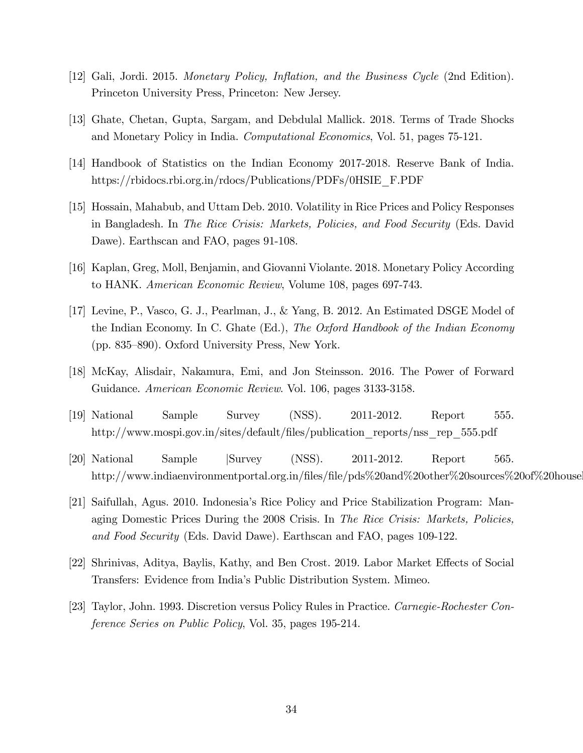- [12] Gali, Jordi. 2015. Monetary Policy, Inflation, and the Business Cycle (2nd Edition). Princeton University Press, Princeton: New Jersey.
- [13] Ghate, Chetan, Gupta, Sargam, and Debdulal Mallick. 2018. Terms of Trade Shocks and Monetary Policy in India. Computational Economics, Vol. 51, pages 75-121.
- [14] Handbook of Statistics on the Indian Economy 2017-2018. Reserve Bank of India. https://rbidocs.rbi.org.in/rdocs/Publications/PDFs/0HSIE\_F.PDF
- [15] Hossain, Mahabub, and Uttam Deb. 2010. Volatility in Rice Prices and Policy Responses in Bangladesh. In The Rice Crisis: Markets, Policies, and Food Security (Eds. David Dawe). Earthscan and FAO, pages 91-108.
- [16] Kaplan, Greg, Moll, Benjamin, and Giovanni Violante. 2018. Monetary Policy According to HANK. American Economic Review, Volume 108, pages 697-743.
- [17] Levine, P., Vasco, G. J., Pearlman, J., & Yang, B. 2012. An Estimated DSGE Model of the Indian Economy. In C. Ghate (Ed.), The Oxford Handbook of the Indian Economy (pp. 835–890). Oxford University Press, New York.
- [18] McKay, Alisdair, Nakamura, Emi, and Jon Steinsson. 2016. The Power of Forward Guidance. American Economic Review. Vol. 106, pages 3133-3158.
- [19] National Sample Survey (NSS). 2011-2012. Report 555. http://www.mospi.gov.in/sites/default/Öles/publication\_reports/nss\_rep\_555.pdf
- [20] National Sample jSurvey (NSS). 2011-2012. Report 565. http://www.indiaenvironmentportal.org.in/files/file/pds%20and%20other%20sources%20of%20house
- [21] Saifullah, Agus. 2010. Indonesiaís Rice Policy and Price Stabilization Program: Managing Domestic Prices During the 2008 Crisis. In The Rice Crisis: Markets, Policies, and Food Security (Eds. David Dawe). Earthscan and FAO, pages 109-122.
- [22] Shrinivas, Aditya, Baylis, Kathy, and Ben Crost. 2019. Labor Market Effects of Social Transfers: Evidence from Indiaís Public Distribution System. Mimeo.
- [23] Taylor, John. 1993. Discretion versus Policy Rules in Practice. Carnegie-Rochester Conference Series on Public Policy, Vol. 35, pages 195-214.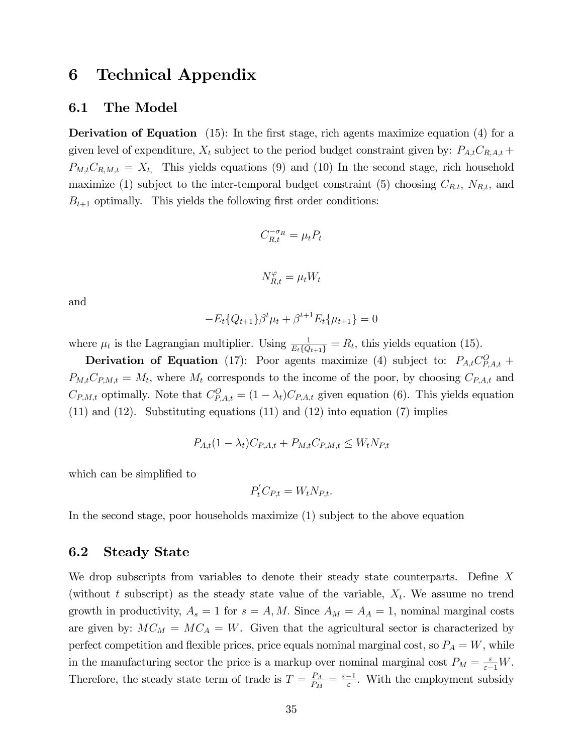## 6 Technical Appendix

#### 6.1 The Model

**Derivation of Equation** (15): In the first stage, rich agents maximize equation (4) for a given level of expenditure,  $X_t$  subject to the period budget constraint given by:  $P_{A,t}C_{R,A,t}$  +  $P_{M,t}C_{R,M,t} = X_t$ , This yields equations (9) and (10) In the second stage, rich household maximize (1) subject to the inter-temporal budget constraint (5) choosing  $C_{R,t}$ ,  $N_{R,t}$ , and  $B_{t+1}$  optimally. This yields the following first order conditions:

$$
C_{R,t}^{-\sigma_R} = \mu_t P_t
$$
  

$$
N_{R,t}^{\varphi} = \mu_t W_t
$$

and

$$
-E_t\{Q_{t+1}\}\beta^t\mu_t + \beta^{t+1}E_t\{\mu_{t+1}\} = 0
$$

where  $\mu_t$  is the Lagrangian multiplier. Using  $\frac{1}{E_t\{Q_{t+1}\}} = R_t$ , this yields equation (15).

Derivation of Equation (17): Poor agents maximize (4) subject to:  $P_{A,t}C_{P,A,t}^{O}$  +  $P_{M,t}C_{P,M,t} = M_t$ , where  $M_t$  corresponds to the income of the poor, by choosing  $C_{P,A,t}$  and  $C_{P,M,t}$  optimally. Note that  $C_{P,A,t}^{O} = (1 - \lambda_t)C_{P,A,t}$  given equation (6). This yields equation  $(11)$  and  $(12)$ . Substituting equations  $(11)$  and  $(12)$  into equation  $(7)$  implies

$$
P_{A,t}(1 - \lambda_t)C_{P,A,t} + P_{M,t}C_{P,M,t} \le W_t N_{P,t}
$$

which can be simplified to

$$
P_t^{'}C_{P,t} = W_t N_{P,t}.
$$

In the second stage, poor households maximize (1) subject to the above equation

### 6.2 Steady State

We drop subscripts from variables to denote their steady state counterparts. Define  $X$ (without t subscript) as the steady state value of the variable,  $X_t$ . We assume no trend growth in productivity,  $A_s = 1$  for  $s = A, M$ . Since  $A_M = A_A = 1$ , nominal marginal costs are given by:  $MC_M = MC_A = W$ . Given that the agricultural sector is characterized by perfect competition and flexible prices, price equals nominal marginal cost, so  $P_A = W$ , while in the manufacturing sector the price is a markup over nominal marginal cost  $P_M = \frac{\varepsilon}{\varepsilon - 1} W$ . Therefore, the steady state term of trade is  $T = \frac{P_A}{P_M}$  $\frac{P_A}{P_M} = \frac{\varepsilon - 1}{\varepsilon}$  $\frac{-1}{\varepsilon}$ . With the employment subsidy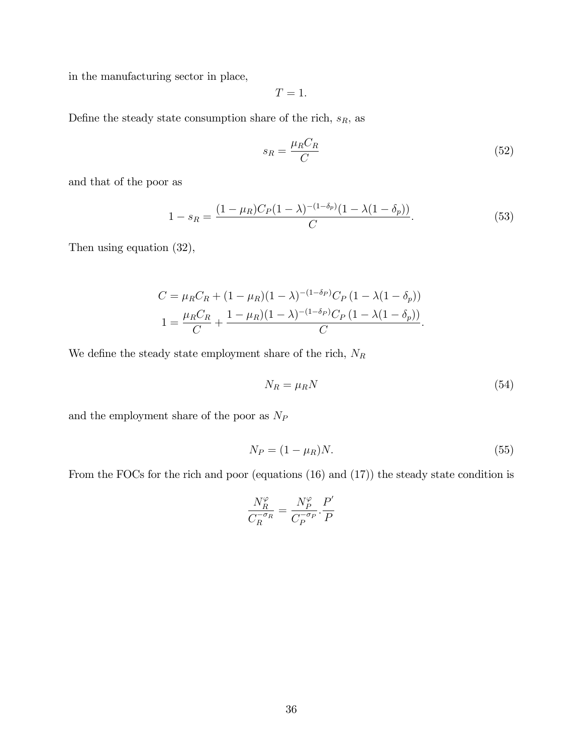in the manufacturing sector in place,

$$
T=1.
$$

Define the steady state consumption share of the rich,  $s_{\mathcal{R}},$  as

$$
s_R = \frac{\mu_R C_R}{C} \tag{52}
$$

and that of the poor as

$$
1 - s_R = \frac{(1 - \mu_R)C_P(1 - \lambda)^{-(1 - \delta_p)}(1 - \lambda(1 - \delta_p))}{C}.
$$
\n(53)

Then using equation (32),

$$
C = \mu_R C_R + (1 - \mu_R)(1 - \lambda)^{-(1 - \delta_P)} C_P (1 - \lambda(1 - \delta_p))
$$
  

$$
1 = \frac{\mu_R C_R}{C} + \frac{1 - \mu_R)(1 - \lambda)^{-(1 - \delta_P)} C_P (1 - \lambda(1 - \delta_p))}{C}.
$$

We define the steady state employment share of the rich,  ${\cal N}_R$ 

$$
N_R = \mu_R N \tag{54}
$$

and the employment share of the poor as  $N_{\cal P}$ 

$$
N_P = (1 - \mu_R)N.\t\t(55)
$$

From the FOCs for the rich and poor (equations (16) and (17)) the steady state condition is

$$
\frac{N_R^{\varphi}}{C_R^{-\sigma_R}} = \frac{N_P^{\varphi}}{C_P^{-\sigma_P}} \cdot \frac{P'}{P}
$$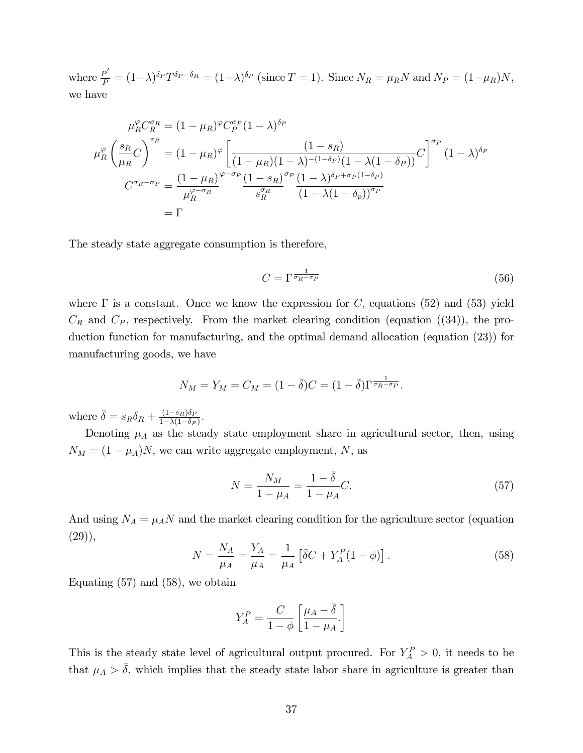where  $\frac{P'}{P} = (1 - \lambda)^{\delta_P} T^{\delta_P - \delta_R} = (1 - \lambda)^{\delta_P}$  (since  $T = 1$ ). Since  $N_R = \mu_R N$  and  $N_P = (1 - \mu_R)N$ , we have

$$
\mu_R^{\varphi} C_R^{\sigma_R} = (1 - \mu_R)^{\varphi} C_P^{\sigma_P} (1 - \lambda)^{\delta_P}
$$
\n
$$
\mu_R^{\varphi} \left( \frac{s_R}{\mu_R} C \right)^{\sigma_R} = (1 - \mu_R)^{\varphi} \left[ \frac{(1 - s_R)}{(1 - \mu_R)(1 - \lambda)^{-(1 - \delta_P)}(1 - \lambda(1 - \delta_P))} C \right]^{\sigma_P} (1 - \lambda)^{\delta_P}
$$
\n
$$
C^{\sigma_R - \sigma_P} = \frac{(1 - \mu_R)^{\varphi - \sigma_P} (1 - s_R)^{\sigma_P}}{\mu_R^{\varphi - \sigma_R}} \frac{(1 - s_R)^{\sigma_P}}{s_R^{\sigma_R}} \frac{(1 - \lambda)^{\delta_P + \sigma_P (1 - \delta_P)}}{(1 - \lambda(1 - \delta_P))^{\sigma_P}}
$$
\n
$$
= \Gamma
$$

The steady state aggregate consumption is therefore,

$$
C = \Gamma^{\frac{1}{\sigma_R - \sigma_P}} \tag{56}
$$

where  $\Gamma$  is a constant. Once we know the expression for C, equations (52) and (53) yield  $C_R$  and  $C_P$ , respectively. From the market clearing condition (equation ((34)), the production function for manufacturing, and the optimal demand allocation (equation (23)) for manufacturing goods, we have

$$
N_M = Y_M = C_M = (1 - \overline{\delta})C = (1 - \overline{\delta})\Gamma^{\frac{1}{\sigma_R - \sigma_P}}.
$$

where  $\bar{\delta} = s_R \delta_R + \frac{(1-s_R)\delta_F}{1-\lambda(1-\delta_B)}$  $\frac{(1-s_R)\sigma_P}{1-\lambda(1-\delta_P)}$ 

Denoting  $\mu_A$  as the steady state employment share in agricultural sector, then, using  $N_M = (1 - \mu_A)N$ , we can write aggregate employment, N, as

$$
N = \frac{N_M}{1 - \mu_A} = \frac{1 - \bar{\delta}}{1 - \mu_A} C. \tag{57}
$$

And using  $N_A = \mu_A N$  and the market clearing condition for the agriculture sector (equation  $(29)$ ,

$$
N = \frac{N_A}{\mu_A} = \frac{Y_A}{\mu_A} = \frac{1}{\mu_A} \left[ \bar{\delta} C + Y_A^P (1 - \phi) \right]. \tag{58}
$$

Equating  $(57)$  and  $(58)$ , we obtain

$$
Y_A^P = \frac{C}{1 - \phi} \left[ \frac{\mu_A - \bar{\delta}}{1 - \mu_A} \right]
$$

This is the steady state level of agricultural output procured. For  $Y_A^P > 0$ , it needs to be that  $\mu_A > \overline{\delta}$ , which implies that the steady state labor share in agriculture is greater than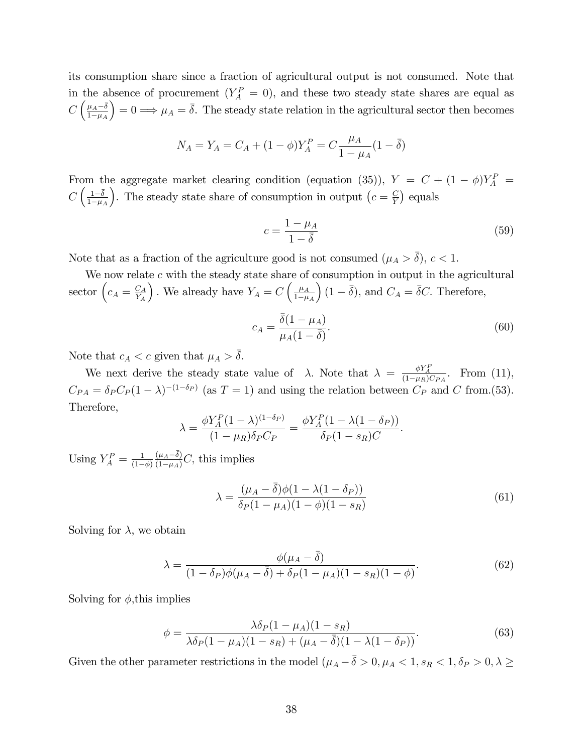its consumption share since a fraction of agricultural output is not consumed. Note that in the absence of procurement  $(Y_A^P = 0)$ , and these two steady state shares are equal as  $C\left(\frac{\mu_A-\bar{\delta}}{1-\mu_A}\right)$  $_{1-\mu_A}$  $= 0 \Longrightarrow \mu_A = \overline{\delta}$ . The steady state relation in the agricultural sector then becomes

$$
N_A = Y_A = C_A + (1 - \phi)Y_A^P = C \frac{\mu_A}{1 - \mu_A} (1 - \overline{\delta})
$$

From the aggregate market clearing condition (equation (35)),  $Y = C + (1 - \phi)Y_A^P$  $C\left(\frac{1-\overline{\delta}}{1-\mu}\right)$  $1-\mu_A$ ). The steady state share of consumption in output  $(c = \frac{C}{Y})$  $\frac{C}{Y}$  equals

$$
c = \frac{1 - \mu_A}{1 - \bar{\delta}}\tag{59}
$$

Note that as a fraction of the agriculture good is not consumed  $(\mu_A > \overline{\delta}), c < 1$ .

We now relate  $c$  with the steady state share of consumption in output in the agricultural sector  $\left(c_A = \frac{C_A}{Y_A}\right)$  $Y_A$ ). We already have  $Y_A = C \left( \frac{\mu_A}{1-\mu} \right)$  $1-\mu_A$  $(1 - \overline{\delta})$ , and  $C_A = \overline{\delta}C$ . Therefore,

$$
c_A = \frac{\bar{\delta}(1 - \mu_A)}{\mu_A(1 - \bar{\delta})}.
$$
\n
$$
(60)
$$

Note that  $c_A < c$  given that  $\mu_A > \overline{\delta}$ .

We next derive the steady state value of  $\lambda$ . Note that  $\lambda = \frac{\phi Y_A^P}{(1-\mu_R)C_{PA}}$ . From (11),  $C_{PA} = \delta_P C_P (1 - \lambda)^{-(1 - \delta_P)}$  (as  $T = 1$ ) and using the relation between  $C_P$  and C from.(53). Therefore,

$$
\lambda = \frac{\phi Y_A^P (1 - \lambda)^{(1 - \delta_P)}}{(1 - \mu_R)\delta_P C_P} = \frac{\phi Y_A^P (1 - \lambda (1 - \delta_P))}{\delta_P (1 - s_R) C}.
$$

Using  $Y_A^P = \frac{1}{(1 - \frac{1}{\cdots}}$  $(1-\phi)$  $\frac{(\mu_A - \bar{\delta})}{(1 - \mu_A)} C$ , this implies

$$
\lambda = \frac{(\mu_A - \bar{\delta})\phi(1 - \lambda(1 - \delta_P))}{\delta_P(1 - \mu_A)(1 - \phi)(1 - s_R)}\tag{61}
$$

Solving for  $\lambda$ , we obtain

$$
\lambda = \frac{\phi(\mu_A - \bar{\delta})}{(1 - \delta_P)\phi(\mu_A - \bar{\delta}) + \delta_P(1 - \mu_A)(1 - s_R)(1 - \phi)}.\tag{62}
$$

Solving for  $\phi$ , this implies

$$
\phi = \frac{\lambda \delta_P (1 - \mu_A)(1 - s_R)}{\lambda \delta_P (1 - \mu_A)(1 - s_R) + (\mu_A - \bar{\delta})(1 - \lambda(1 - \delta_P))}.
$$
(63)

Given the other parameter restrictions in the model  $(\mu_A - \bar{\delta} > 0, \mu_A < 1, s_R < 1, \delta_P > 0, \lambda \ge 0)$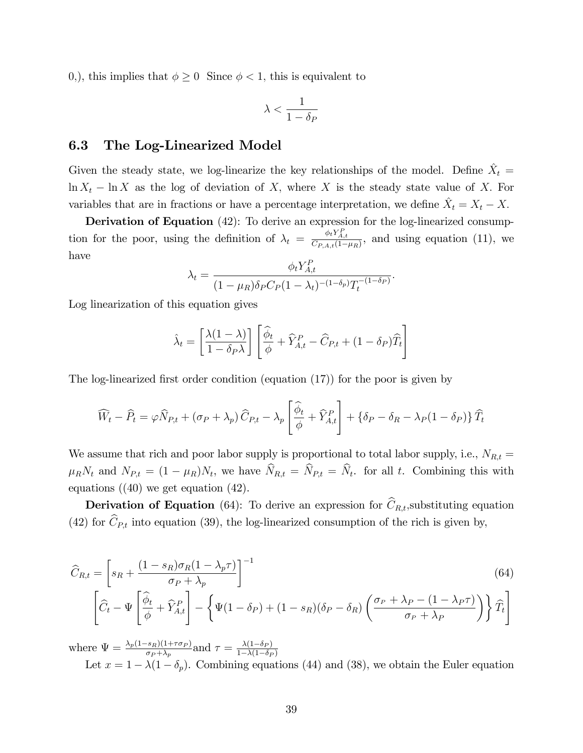0,), this implies that  $\phi \geq 0$  Since  $\phi < 1$ , this is equivalent to

$$
\lambda < \frac{1}{1-\delta_P}
$$

### 6.3 The Log-Linearized Model

Given the steady state, we log-linearize the key relationships of the model. Define  $\hat{X}_t =$  $\ln X_t - \ln X$  as the log of deviation of X; where X is the steady state value of X. For variables that are in fractions or have a percentage interpretation, we define  $\hat{X}_t = X_t - X_t$ .

Derivation of Equation (42): To derive an expression for the log-linearized consumption for the poor, using the definition of  $\lambda_t = \frac{\phi_t Y_{A,t}^P}{C_{P,A,t}(1-\mu_R)}$ , and using equation (11), we have

$$
\lambda_t = \frac{\phi_t Y_{A,t}^P}{(1 - \mu_R)\delta_P C_P (1 - \lambda_t)^{-(1 - \delta_P)} T_t^{-(1 - \delta_P)}}.
$$

Log linearization of this equation gives

$$
\hat{\lambda}_t = \left[\frac{\lambda(1-\lambda)}{1-\delta_P\lambda}\right] \left[\frac{\hat{\phi}_t}{\phi} + \hat{Y}_{A,t}^P - \hat{C}_{P,t} + (1-\delta_P)\hat{T}_t\right]
$$

The log-linearized first order condition (equation  $(17)$ ) for the poor is given by

$$
\widehat{W}_t - \widehat{P}_t = \varphi \widehat{N}_{P,t} + (\sigma_P + \lambda_p) \widehat{C}_{P,t} - \lambda_p \left[ \frac{\widehat{\phi}_t}{\phi} + \widehat{Y}_{A,t}^P \right] + \left\{ \delta_P - \delta_R - \lambda_P (1 - \delta_P) \right\} \widehat{T}_t
$$

We assume that rich and poor labor supply is proportional to total labor supply, i.e.,  $N_{R,t} =$  $\mu_R N_t$  and  $N_{P,t} = (1 - \mu_R) N_t$ , we have  $N_{R,t} = N_{P,t} = N_t$ . for all t. Combining this with equations  $(40)$  we get equation  $(42)$ .

**Derivation of Equation** (64): To derive an expression for  $\widehat{C}_{R,t}$ , substituting equation (42) for  $\widehat{C}_{P,t}$  into equation (39), the log-linearized consumption of the rich is given by,

$$
\widehat{C}_{R,t} = \left[ s_R + \frac{(1 - s_R)\sigma_R(1 - \lambda_p \tau)}{\sigma_P + \lambda_p} \right]^{-1} \tag{64}
$$
\n
$$
\left[ \widehat{C}_t - \Psi \left[ \frac{\widehat{\phi}_t}{\phi} + \widehat{Y}_{A,t}^P \right] - \left\{ \Psi(1 - \delta_P) + (1 - s_R)(\delta_P - \delta_R) \left( \frac{\sigma_P + \lambda_P - (1 - \lambda_P \tau)}{\sigma_P + \lambda_P} \right) \right\} \widehat{T}_t \right]
$$

where  $\Psi = \frac{\lambda_p(1-s_R)(1+\tau\sigma_P)}{\sigma_P + \lambda_p}$  and  $\tau = \frac{\lambda(1-\delta_P)}{1-\lambda(1-\delta_P)}$  $1-\lambda(1-\delta_P)$ Let  $x = 1 - \lambda(1 - \delta_p)$ . Combining equations (44) and (38), we obtain the Euler equation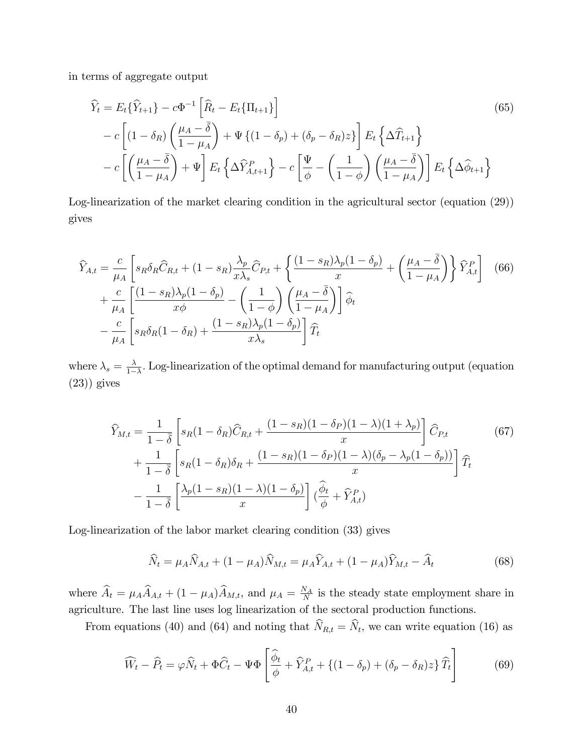in terms of aggregate output

$$
\widehat{Y}_t = E_t \{\widehat{Y}_{t+1}\} - c\Phi^{-1} \left[ \widehat{R}_t - E_t \{\Pi_{t+1}\} \right]
$$
\n
$$
- c \left[ (1 - \delta_R) \left( \frac{\mu_A - \overline{\delta}}{1 - \mu_A} \right) + \Psi \{ (1 - \delta_p) + (\delta_p - \delta_R) z \} \right] E_t \left\{ \Delta \widehat{T}_{t+1} \right\}
$$
\n
$$
- c \left[ \left( \frac{\mu_A - \overline{\delta}}{1 - \mu_A} \right) + \Psi \right] E_t \left\{ \Delta \widehat{Y}_{A, t+1}^P \right\} - c \left[ \frac{\Psi}{\phi} - \left( \frac{1}{1 - \phi} \right) \left( \frac{\mu_A - \overline{\delta}}{1 - \mu_A} \right) \right] E_t \left\{ \Delta \widehat{\phi}_{t+1} \right\}
$$
\n(65)

Log-linearization of the market clearing condition in the agricultural sector (equation (29)) gives

$$
\widehat{Y}_{A,t} = \frac{c}{\mu_A} \left[ s_R \delta_R \widehat{C}_{R,t} + (1 - s_R) \frac{\lambda_p}{x \lambda_s} \widehat{C}_{P,t} + \left\{ \frac{(1 - s_R)\lambda_p (1 - \delta_p)}{x} + \left( \frac{\mu_A - \overline{\delta}}{1 - \mu_A} \right) \right\} \widehat{Y}_{A,t}^P \right] \tag{66}
$$
\n
$$
+ \frac{c}{\mu_A} \left[ \frac{(1 - s_R)\lambda_p (1 - \delta_p)}{x \phi} - \left( \frac{1}{1 - \phi} \right) \left( \frac{\mu_A - \overline{\delta}}{1 - \mu_A} \right) \right] \widehat{\phi}_t
$$
\n
$$
- \frac{c}{\mu_A} \left[ s_R \delta_R (1 - \delta_R) + \frac{(1 - s_R)\lambda_p (1 - \delta_p)}{x \lambda_s} \right] \widehat{T}_t
$$

where  $\lambda_s = \frac{\lambda}{1-\lambda}$  $\frac{\lambda}{1-\lambda}$ . Log-linearization of the optimal demand for manufacturing output (equation  $(23)$ ) gives

$$
\widehat{Y}_{M,t} = \frac{1}{1-\bar{\delta}} \left[ s_R(1-\delta_R)\widehat{C}_{R,t} + \frac{(1-s_R)(1-\delta_P)(1-\lambda)(1+\lambda_p)}{x} \right] \widehat{C}_{P,t} \tag{67}
$$
\n
$$
+ \frac{1}{1-\bar{\delta}} \left[ s_R(1-\delta_R)\delta_R + \frac{(1-s_R)(1-\delta_P)(1-\lambda)(\delta_p-\lambda_p(1-\delta_p))}{x} \right] \widehat{T}_t
$$
\n
$$
- \frac{1}{1-\bar{\delta}} \left[ \frac{\lambda_p(1-s_R)(1-\lambda)(1-\delta_p)}{x} \right] \widehat{C}_{\phi} + \widehat{Y}_{A,t}^P
$$

Log-linearization of the labor market clearing condition (33) gives

$$
\widehat{N}_t = \mu_A \widehat{N}_{A,t} + (1 - \mu_A) \widehat{N}_{M,t} = \mu_A \widehat{Y}_{A,t} + (1 - \mu_A) \widehat{Y}_{M,t} - \widehat{A}_t
$$
\n(68)

where  $\widehat{A}_t = \mu_A \widehat{A}_{A,t} + (1 - \mu_A) \widehat{A}_{M,t}$ , and  $\mu_A = \frac{N_A}{N}$  $\frac{V_A}{N}$  is the steady state employment share in agriculture. The last line uses log linearization of the sectoral production functions.

From equations (40) and (64) and noting that  $N_{R,t} = N_t$ , we can write equation (16) as

$$
\widehat{W}_t - \widehat{P}_t = \varphi \widehat{N}_t + \Phi \widehat{C}_t - \Psi \Phi \left[ \frac{\widehat{\phi}_t}{\phi} + \widehat{Y}_{A,t}^P + \left\{ (1 - \delta_p) + (\delta_p - \delta_R) z \right\} \widehat{T}_t \right] \tag{69}
$$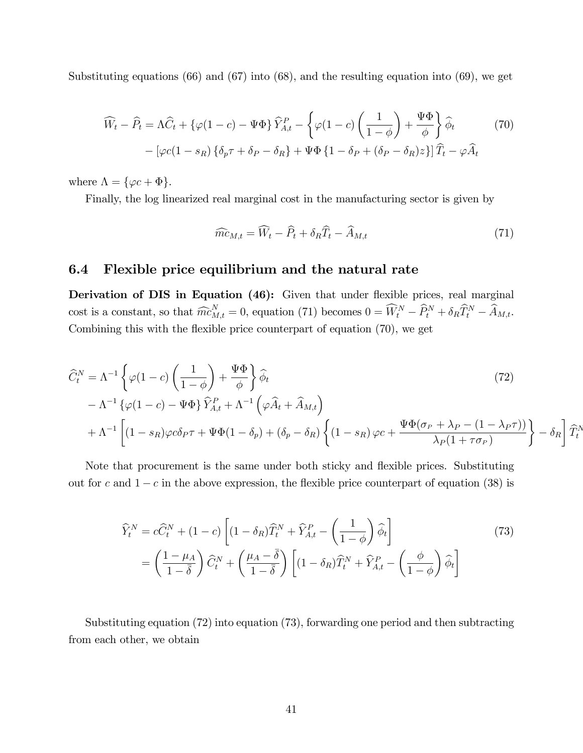Substituting equations (66) and (67) into (68), and the resulting equation into (69), we get

$$
\widehat{W}_t - \widehat{P}_t = \Lambda \widehat{C}_t + \{ \varphi(1-c) - \Psi \Phi \} \widehat{Y}_{A,t}^P - \left\{ \varphi(1-c) \left( \frac{1}{1-\phi} \right) + \frac{\Psi \Phi}{\phi} \right\} \widehat{\phi}_t \tag{70}
$$

$$
- \left[ \varphi c(1-s_R) \left\{ \delta_p \tau + \delta_P - \delta_R \right\} + \Psi \Phi \left\{ 1 - \delta_P + (\delta_P - \delta_R) z \right\} \right] \widehat{T}_t - \varphi \widehat{A}_t
$$

where  $\Lambda = {\varphi c + \Phi}.$ 

Finally, the log linearized real marginal cost in the manufacturing sector is given by

$$
\widehat{mc}_{M,t} = \widehat{W}_t - \widehat{P}_t + \delta_R \widehat{T}_t - \widehat{A}_{M,t} \tag{71}
$$

### 6.4 Flexible price equilibrium and the natural rate

Derivation of DIS in Equation (46): Given that under flexible prices, real marginal cost is a constant, so that  $\widehat{mc}_{M,t}^N = 0$ , equation (71) becomes  $0 = \widehat{W}_t^N - \widehat{P}_t^N + \delta_R \widehat{T}_t^N - \widehat{A}_{M,t}$ . Combining this with the flexible price counterpart of equation  $(70)$ , we get

$$
\begin{split}\n\widehat{C}_{t}^{N} &= \Lambda^{-1} \left\{ \varphi(1-c) \left( \frac{1}{1-\phi} \right) + \frac{\Psi \Phi}{\phi} \right\} \widehat{\phi}_{t} \\
&\quad - \Lambda^{-1} \left\{ \varphi(1-c) - \Psi \Phi \right\} \widehat{Y}_{A,t}^{P} + \Lambda^{-1} \left( \varphi \widehat{A}_{t} + \widehat{A}_{M,t} \right) \\
&\quad + \Lambda^{-1} \left[ (1 - s_{R}) \varphi c \delta_{P} \tau + \Psi \Phi(1 - \delta_{p}) + (\delta_{p} - \delta_{R}) \left\{ (1 - s_{R}) \varphi c + \frac{\Psi \Phi(\sigma_{P} + \lambda_{P} - (1 - \lambda_{P} \tau))}{\lambda_{P} (1 + \tau \sigma_{P})} \right\} - \delta_{R} \right] \widehat{T}_{t}^{N}.\n\end{split}
$$

Note that procurement is the same under both sticky and flexible prices. Substituting out for c and  $1 - c$  in the above expression, the flexible price counterpart of equation (38) is

$$
\widehat{Y}_{t}^{N} = c\widehat{C}_{t}^{N} + (1 - c)\left[ (1 - \delta_{R})\widehat{T}_{t}^{N} + \widehat{Y}_{A,t}^{P} - \left(\frac{1}{1 - \phi}\right)\widehat{\phi}_{t} \right]
$$
\n
$$
= \left(\frac{1 - \mu_{A}}{1 - \overline{\delta}}\right)\widehat{C}_{t}^{N} + \left(\frac{\mu_{A} - \overline{\delta}}{1 - \overline{\delta}}\right)\left[ (1 - \delta_{R})\widehat{T}_{t}^{N} + \widehat{Y}_{A,t}^{P} - \left(\frac{\phi}{1 - \phi}\right)\widehat{\phi}_{t} \right]
$$
\n(73)

Substituting equation (72) into equation (73), forwarding one period and then subtracting from each other, we obtain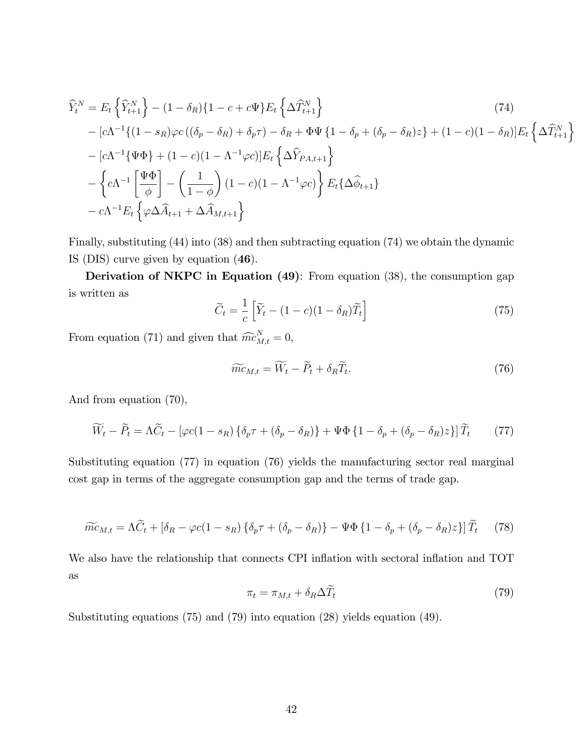$$
\begin{split}\n\widehat{Y}_{t}^{N} &= E_{t} \left\{ \widehat{Y}_{t+1}^{N} \right\} - (1 - \delta_{R}) \{ 1 - c + c \Psi \} E_{t} \left\{ \Delta \widehat{T}_{t+1}^{N} \right\} \\
&- [c \Lambda^{-1} \{ (1 - s_{R}) \varphi c \left( (\delta_{p} - \delta_{R}) + \delta_{p} \tau \right) - \delta_{R} + \Phi \Psi \{ 1 - \delta_{p} + (\delta_{p} - \delta_{R}) z \} + (1 - c) (1 - \delta_{R})] E_{t} \left\{ \Delta \widehat{T}_{t+1}^{N} \right\} \\
&- [c \Lambda^{-1} \{ \Psi \Phi \} + (1 - c) (1 - \Lambda^{-1} \varphi c)] E_{t} \left\{ \Delta \widehat{Y}_{PA, t+1} \right\} \\
&- \left\{ c \Lambda^{-1} \left[ \frac{\Psi \Phi}{\phi} \right] - \left( \frac{1}{1 - \phi} \right) (1 - c) (1 - \Lambda^{-1} \varphi c) \right\} E_{t} \{\Delta \widehat{\phi}_{t+1} \} \\
&- c \Lambda^{-1} E_{t} \left\{ \varphi \Delta \widehat{A}_{t+1} + \Delta \widehat{A}_{M, t+1} \right\}\n\end{split}
$$
\n(74)

Finally, substituting (44) into (38) and then subtracting equation (74) we obtain the dynamic IS (DIS) curve given by equation (46).

Derivation of NKPC in Equation (49): From equation (38), the consumption gap is written as

$$
\widetilde{C}_t = \frac{1}{c} \left[ \widetilde{Y}_t - (1 - c)(1 - \delta_R) \widetilde{T}_t \right]
$$
\n(75)

From equation (71) and given that  $\widehat{mc}_{M,t}^N = 0$ ,

$$
\widetilde{mc}_{M,t} = \widetilde{W}_t - \widetilde{P}_t + \delta_R \widetilde{T}_t. \tag{76}
$$

And from equation (70),

$$
\widetilde{W}_t - \widetilde{P}_t = \Lambda \widetilde{C}_t - \left[ \varphi c (1 - s_R) \left\{ \delta_p \tau + (\delta_p - \delta_R) \right\} + \Psi \Phi \left\{ 1 - \delta_p + (\delta_p - \delta_R) z \right\} \right] \widetilde{T}_t \tag{77}
$$

Substituting equation (77) in equation (76) yields the manufacturing sector real marginal cost gap in terms of the aggregate consumption gap and the terms of trade gap.

$$
\widetilde{mc}_{M,t} = \Lambda \widetilde{C}_t + \left[\delta_R - \varphi c(1 - s_R)\left\{\delta_p \tau + \left(\delta_p - \delta_R\right)\right\} - \Psi \Phi \left\{1 - \delta_p + \left(\delta_p - \delta_R\right)z\right\}\right] \widetilde{T}_t \tag{78}
$$

We also have the relationship that connects CPI inflation with sectoral inflation and TOT as

$$
\pi_t = \pi_{M,t} + \delta_R \Delta T_t \tag{79}
$$

Substituting equations (75) and (79) into equation (28) yields equation (49).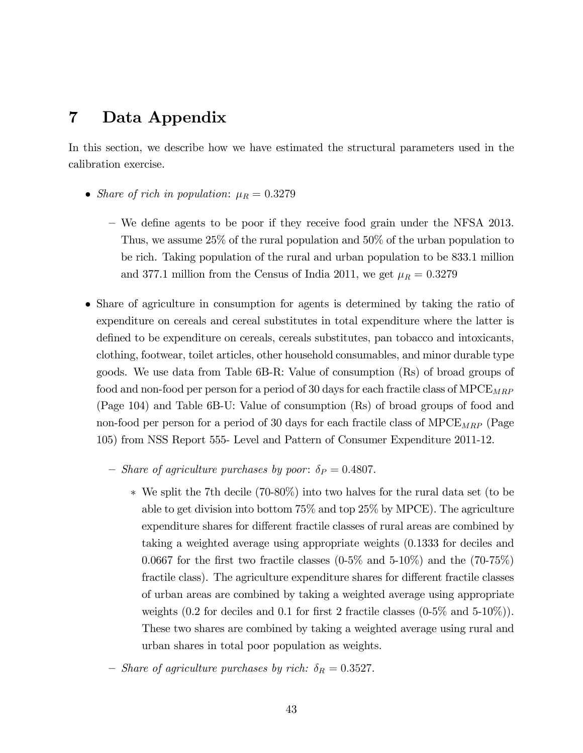# 7 Data Appendix

In this section, we describe how we have estimated the structural parameters used in the calibration exercise.

- Share of rich in population:  $\mu_R = 0.3279$ 
	- We define agents to be poor if they receive food grain under the NFSA 2013. Thus, we assume 25% of the rural population and 50% of the urban population to be rich. Taking population of the rural and urban population to be 833.1 million and 377.1 million from the Census of India 2011, we get  $\mu_R = 0.3279$
- Share of agriculture in consumption for agents is determined by taking the ratio of expenditure on cereals and cereal substitutes in total expenditure where the latter is defined to be expenditure on cereals, cereals substitutes, pan tobacco and intoxicants, clothing, footwear, toilet articles, other household consumables, and minor durable type goods. We use data from Table 6B-R: Value of consumption (Rs) of broad groups of food and non-food per person for a period of 30 days for each fractile class of  $\text{MPCE}_{MRP}$ (Page 104) and Table 6B-U: Value of consumption (Rs) of broad groups of food and non-food per person for a period of 30 days for each fractile class of  $\text{MPCE}_{MRP}$  (Page 105) from NSS Report 555- Level and Pattern of Consumer Expenditure 2011-12.
	- Share of agriculture purchases by poor:  $\delta_P = 0.4807$ .
		- We split the 7th decile (70-80%) into two halves for the rural data set (to be able to get division into bottom 75% and top 25% by MPCE). The agriculture expenditure shares for different fractile classes of rural areas are combined by taking a weighted average using appropriate weights (0.1333 for deciles and 0.0667 for the first two fractile classes  $(0.5\%$  and  $5-10\%)$  and the  $(70-75\%)$ fractile class). The agriculture expenditure shares for different fractile classes of urban areas are combined by taking a weighted average using appropriate weights (0.2 for deciles and 0.1 for first 2 fractile classes  $(0.5\%$  and  $5.10\%)$ ). These two shares are combined by taking a weighted average using rural and urban shares in total poor population as weights.
	- Share of agriculture purchases by rich:  $\delta_R = 0.3527$ .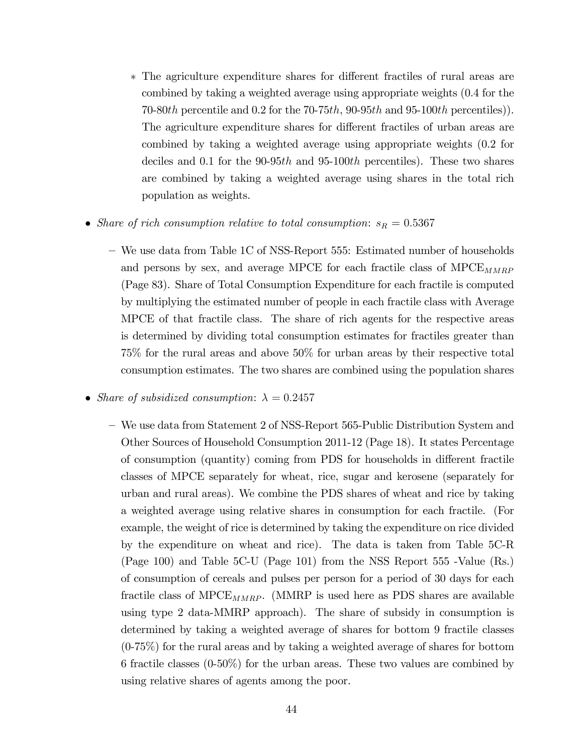- \* The agriculture expenditure shares for different fractiles of rural areas are combined by taking a weighted average using appropriate weights (0.4 for the 70-80th percentile and 0.2 for the 70-75th, 90-95th and 95-100th percentiles). The agriculture expenditure shares for different fractiles of urban areas are combined by taking a weighted average using appropriate weights (0.2 for deciles and 0.1 for the 90-95th and 95-100th percentiles). These two shares are combined by taking a weighted average using shares in the total rich population as weights.
- Share of rich consumption relative to total consumption:  $s_R = 0.5367$ 
	- ñ We use data from Table 1C of NSS-Report 555: Estimated number of households and persons by sex, and average MPCE for each fractile class of  $M PCE_{MMRP}$ (Page 83). Share of Total Consumption Expenditure for each fractile is computed by multiplying the estimated number of people in each fractile class with Average MPCE of that fractile class. The share of rich agents for the respective areas is determined by dividing total consumption estimates for fractiles greater than 75% for the rural areas and above 50% for urban areas by their respective total consumption estimates. The two shares are combined using the population shares
- Share of subsidized consumption:  $\lambda = 0.2457$ 
	- ñ We use data from Statement 2 of NSS-Report 565-Public Distribution System and Other Sources of Household Consumption 2011-12 (Page 18). It states Percentage of consumption (quantity) coming from PDS for households in different fractile classes of MPCE separately for wheat, rice, sugar and kerosene (separately for urban and rural areas). We combine the PDS shares of wheat and rice by taking a weighted average using relative shares in consumption for each fractile. (For example, the weight of rice is determined by taking the expenditure on rice divided by the expenditure on wheat and rice). The data is taken from Table 5C-R (Page 100) and Table 5C-U (Page 101) from the NSS Report 555 -Value (Rs.) of consumption of cereals and pulses per person for a period of 30 days for each fractile class of MPC $E_{MMRP}$ . (MMRP is used here as PDS shares are available using type 2 data-MMRP approach). The share of subsidy in consumption is determined by taking a weighted average of shares for bottom 9 fractile classes (0-75%) for the rural areas and by taking a weighted average of shares for bottom 6 fractile classes (0-50%) for the urban areas. These two values are combined by using relative shares of agents among the poor.